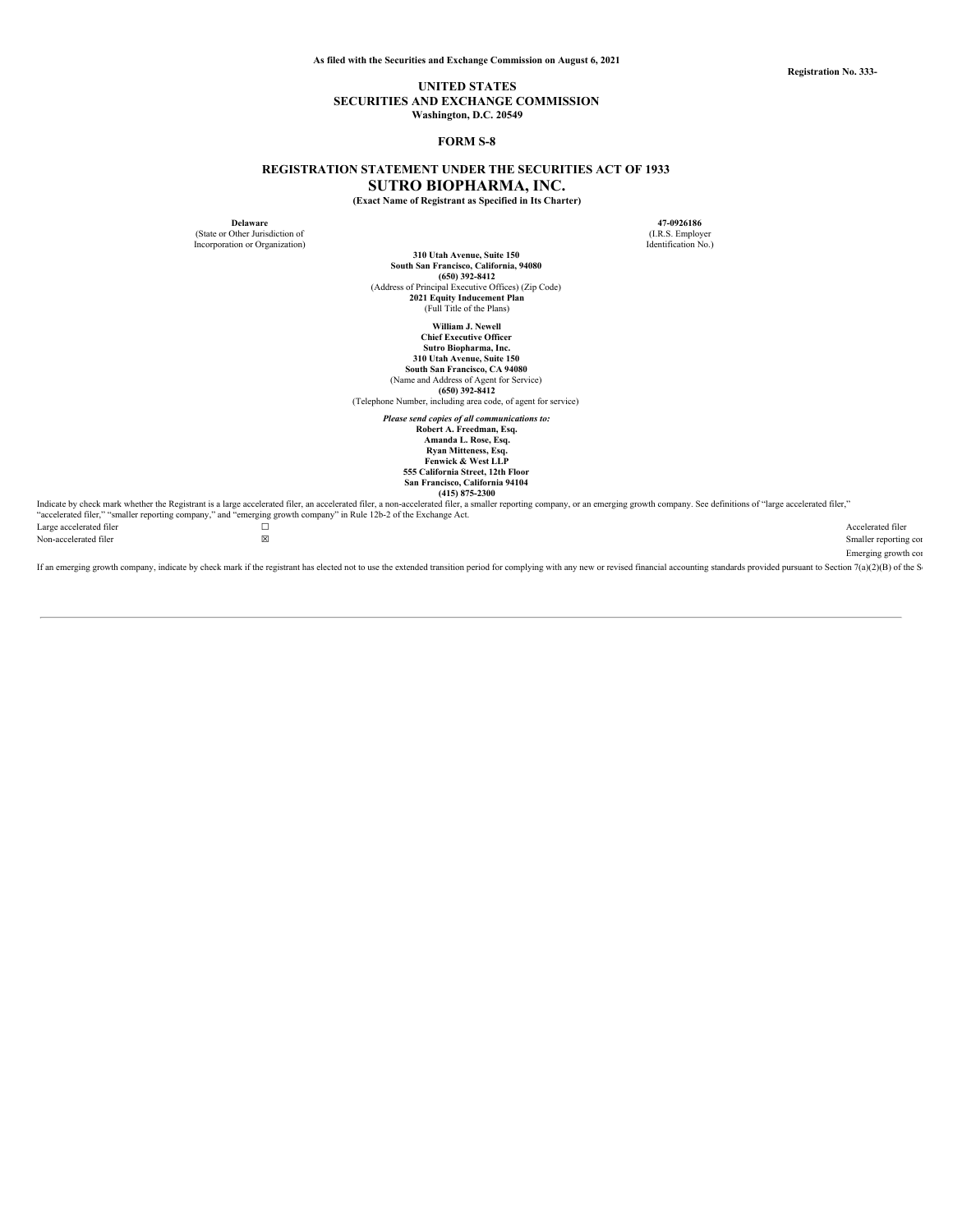**Registration No. 333-**

## **UNITED STATES SECURITIES AND EXCHANGE COMMISSION Washington, D.C. 20549**

## **FORM S-8**

# **REGISTRATION STATEMENT UNDER THE SECURITIES ACT OF 1933 SUTRO BIOPHARMA, INC.**

**(Exact Name of Registrant as Specified in Its Charter)**

(State or Other Jurisdiction of (I.R.S. Employer) (I.R.S. Employer) (I.R.S. Employer) (I.R.S. Employer) (I.R.S. Employer) Incorporation or Organization)

**Delaware 47-0926186**

**310 Utah Avenue, Suite 150 South San Francisco, California, 94080 (650) 392-8412** (Address of Principal Executive Offices) (Zip Code) **2021 Equity Inducement Plan** (Full Title of the Plans)

**William J. Newell**

**Chief Executive Officer Sutro Biopharma, Inc. 310 Utah Avenue, Suite 150 South San Francisco, CA 94080**

(Name and Address of Agent for Service) **(650) 392-8412**

(Telephone Number, including area code, of agent for service)

*Please send copies of all communications to:*

**Robert A. Freedman, Esq. Amanda L. Rose, Esq. Ryan Mitteness, Esq. Fenwick & West LLP**

**555 California Street, 12th Floor San Francisco, California 94104 (415) 875-2300**

Indicate by check mark whether the Registrant is a large accelerated filer, an accelerated filer, a non-accelerated filer, a maller reporting company, or an emerging growth company. See definitions of "large accelerated fi Large accelerated filer ☐ Accelerated filer Non-accelerated filer **the contract of the Smaller reporting company** Smaller reporting company of the Smaller reporting company of the Smaller reporting company of the Smaller reporting company of the Smaller reporting co

Emerging growth com

If an emerging growth company, indicate by check mark if the registrant has elected not to use the extended transition period for complying with any new or revised financial accounting standards provided pursuant to Sectio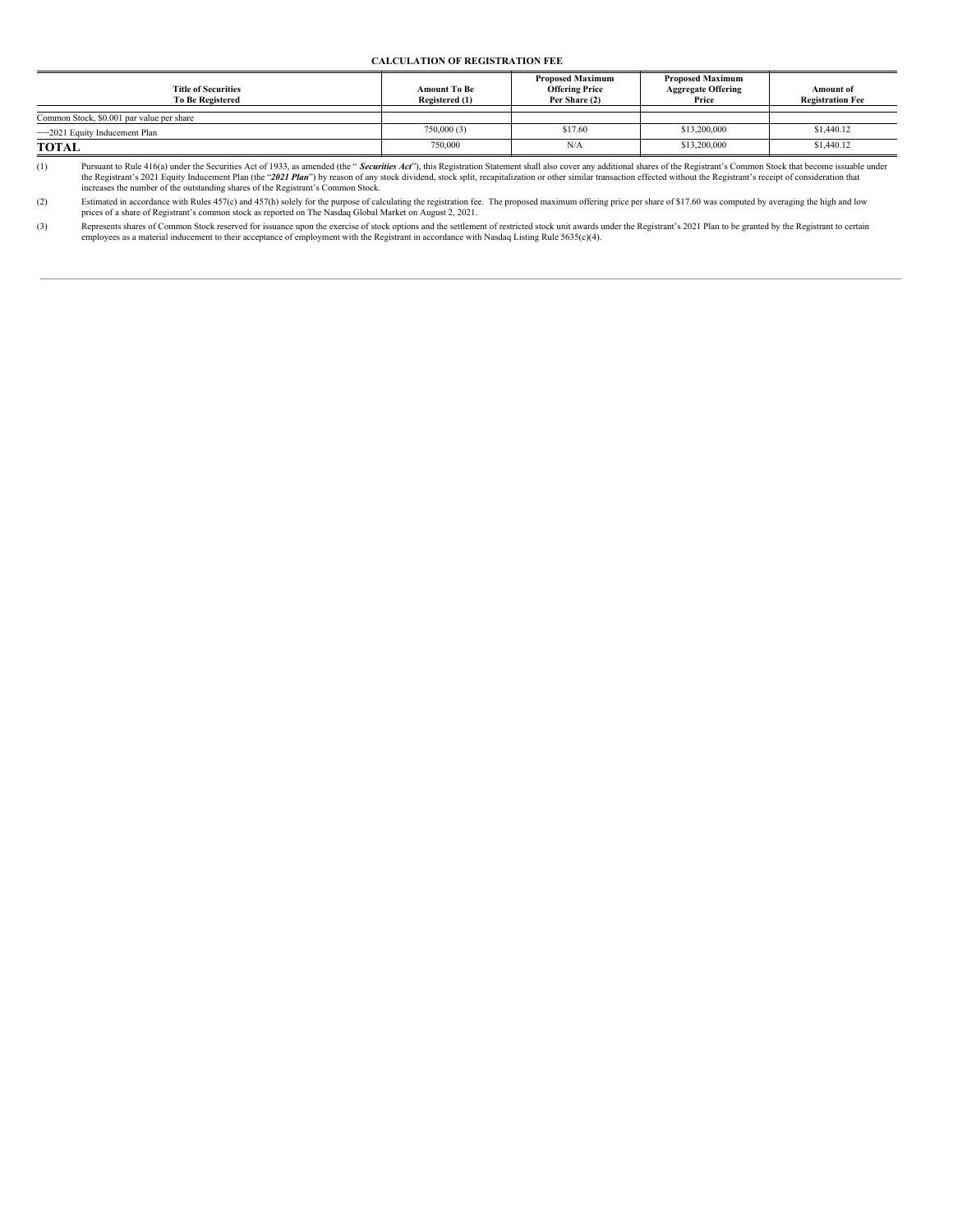## **CALCULATION OF REGISTRATION FEE**

| <b>Title of Securities</b><br><b>To Be Registered</b> | <b>Amount To Be</b><br>Registered (1) | <b>Proposed Maximum</b><br><b>Offering Price</b><br>Per Share (2) | <b>Proposed Maximum</b><br><b>Aggregate Offering</b><br>Price | Amount of<br><b>Registration Fee</b> |
|-------------------------------------------------------|---------------------------------------|-------------------------------------------------------------------|---------------------------------------------------------------|--------------------------------------|
| Common Stock, \$0.001 par value per share             |                                       |                                                                   |                                                               |                                      |
| -2021 Equity Inducement Plan                          | 750,000 (3)                           | \$17.60                                                           | \$13,200,000                                                  | \$1,440.12                           |
| <b>TOTAL</b>                                          | 750,000                               | N/A                                                               | \$13,200,000                                                  | \$1,440.12                           |

(1) Pursuant to Rule 416(a) under the Securities Act of 1933, as amended (the "Securities Act"), this Registration Statement shall also cover any additional shares of the Registrant's Common Stock that become issuable unde increases the number of the outstanding shares of the Registrant's Common Stock.

Estimated in accordance with Rules 457(c) and 457(h) solely for the purpose of calculating the registration fee. The proposed maximum offering price per share of \$17.60 was computed by averaging the high and low<br>prices of

(3) Represents shares of Common Stock reserved for issuance upon the exercise of stock options and the settlement of restricted stock unit awards under the Registrant's 2021 Plan to be granted by the Registrant to certain<br>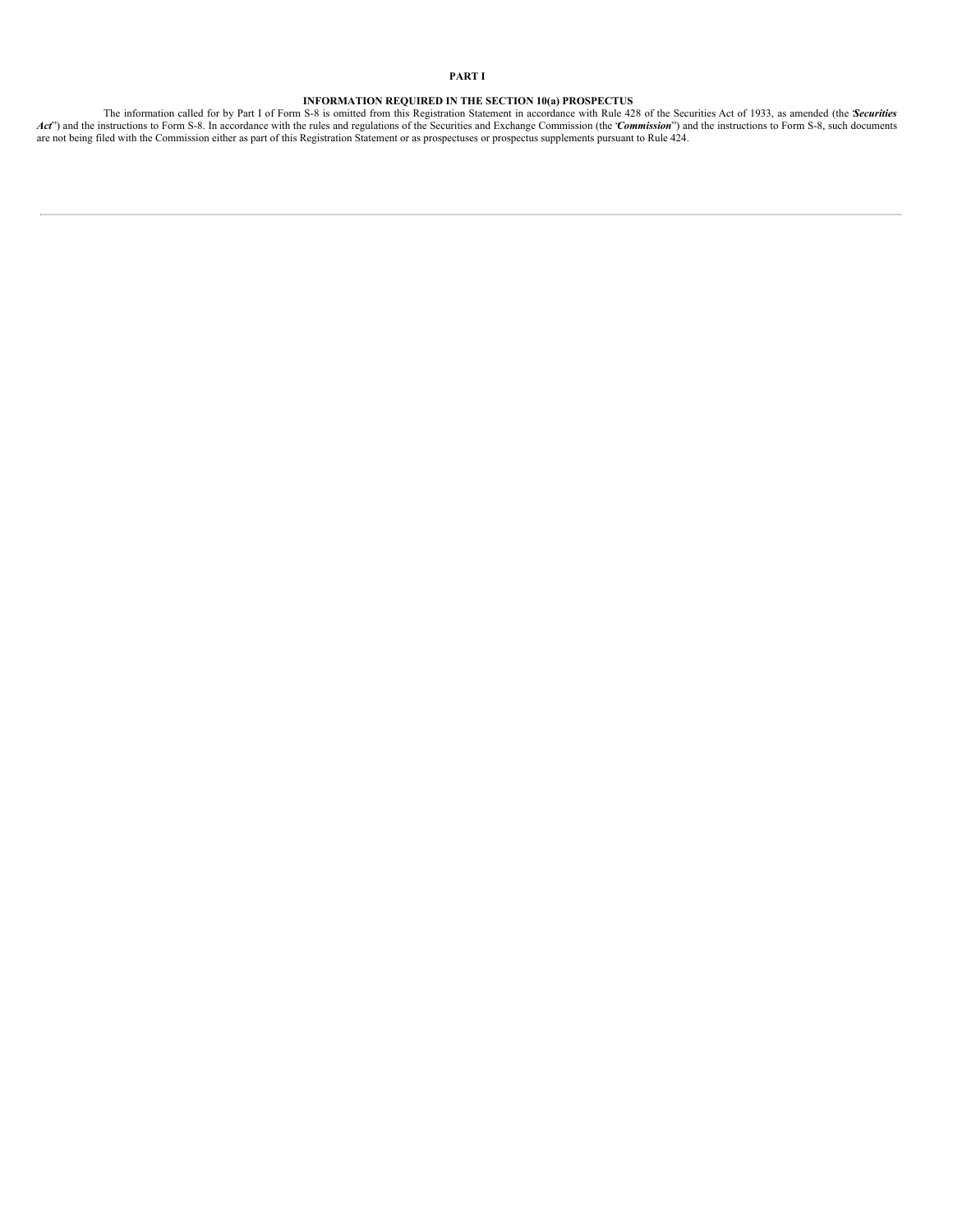**INFORMATION REQUIRED IN THE SECTION 10(a) PROSPECTUS**<br>Act<sup>"</sup>) and the instructions to Form S-8. In accordance with the Series and registration Statement in accordance with Rule 428 of the Securities Act of 1933, as amende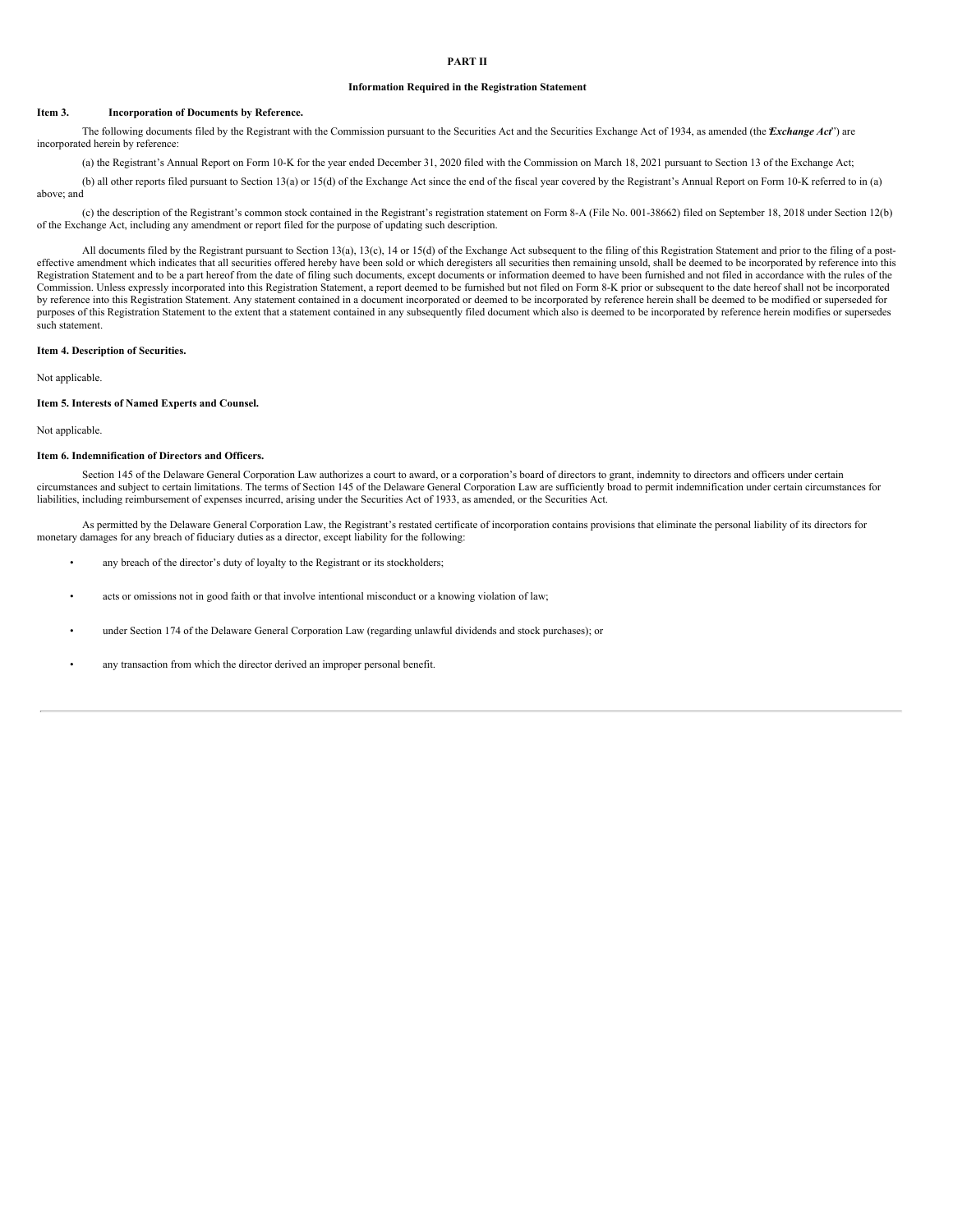# **PART II**

#### **Information Required in the Registration Statement**

#### **Item 3. Incorporation of Documents by Reference.**

The following documents filed by the Registrant with the Commission pursuant to the Securities Act and the Securities Exchange Act of 1934, as amended (the *Exchange Act*<sup>\*</sup>) are incorporated herein by reference:

(a) the Registrant's Annual Report on Form 10-K for the year ended December 31, 2020 filed with the Commission on March 18, 2021 pursuant to Section 13 of the Exchange Act;

(b) all other reports filed pursuant to Section 13(a) or 15(d) of the Exchange Act since the end of the fiscal year covered by the Registrant's Annual Report on Form 10-K referred to in (a) above; and

(c) the description of the Registrant's common stock contained in the Registrant's registration statement on Form 8-A (File No. 001-38662) filed on September 18, 2018 under Section 12(b) of the Exchange Act, including any amendment or report filed for the purpose of updating such description.

All documents filed by the Registrant pursuant to Section 13(a), 13(c), 14 or 15(d) of the Exchange Act subsequent to the filing of this Registration Statement and prior to the filing of a posteffective amendment which indicates that all securities offered hereby have been sold or which deregisters all securities then remaining unsold, shall be deemed to be incorporated by reference into this Registration Statement and to be a part hereof from the date of filing such documents, except documents or information deemed to have been furnished and not filed in accordance with the rules of the Commission. Unless expressly incorporated into this Registration Statement, a report deemed to be furnished but not filed on Form 8-K prior or subsequent to the date hereof shall not be incorporated by reference into this Registration Statement. Any statement contained in a document incorporated or deemed to be incorporated by reference herein shall be deemed to be modified or superseded for purposes of this Registration Statement to the extent that a statement contained in any subsequently filed document which also is deemed to be incorporated by reference herein modifies or supersedes such statement.

## **Item 4. Description of Securities.**

Not applicable.

#### **Item 5. Interests of Named Experts and Counsel.**

Not applicable.

#### **Item 6. Indemnification of Directors and Officers.**

Section 145 of the Delaware General Corporation Law authorizes a court to award, or a corporation's board of directors to grant, indemnity to directors and officers under certain circumstances and subject to certain limitations. The terms of Section 145 of the Delaware General Corporation Law are sufficiently broad to permit indemnification under certain circumstances for liabilities, including reimbursement of expenses incurred, arising under the Securities Act of 1933, as amended, or the Securities Act.

As permitted by the Delaware General Corporation Law, the Registrant's restated certificate of incorporation contains provisions that eliminate the personal liability of its directors for monetary damages for any breach of fiduciary duties as a director, except liability for the following:

- any breach of the director's duty of loyalty to the Registrant or its stockholders;
- acts or omissions not in good faith or that involve intentional misconduct or a knowing violation of law;
- under Section 174 of the Delaware General Corporation Law (regarding unlawful dividends and stock purchases); or
- any transaction from which the director derived an improper personal benefit.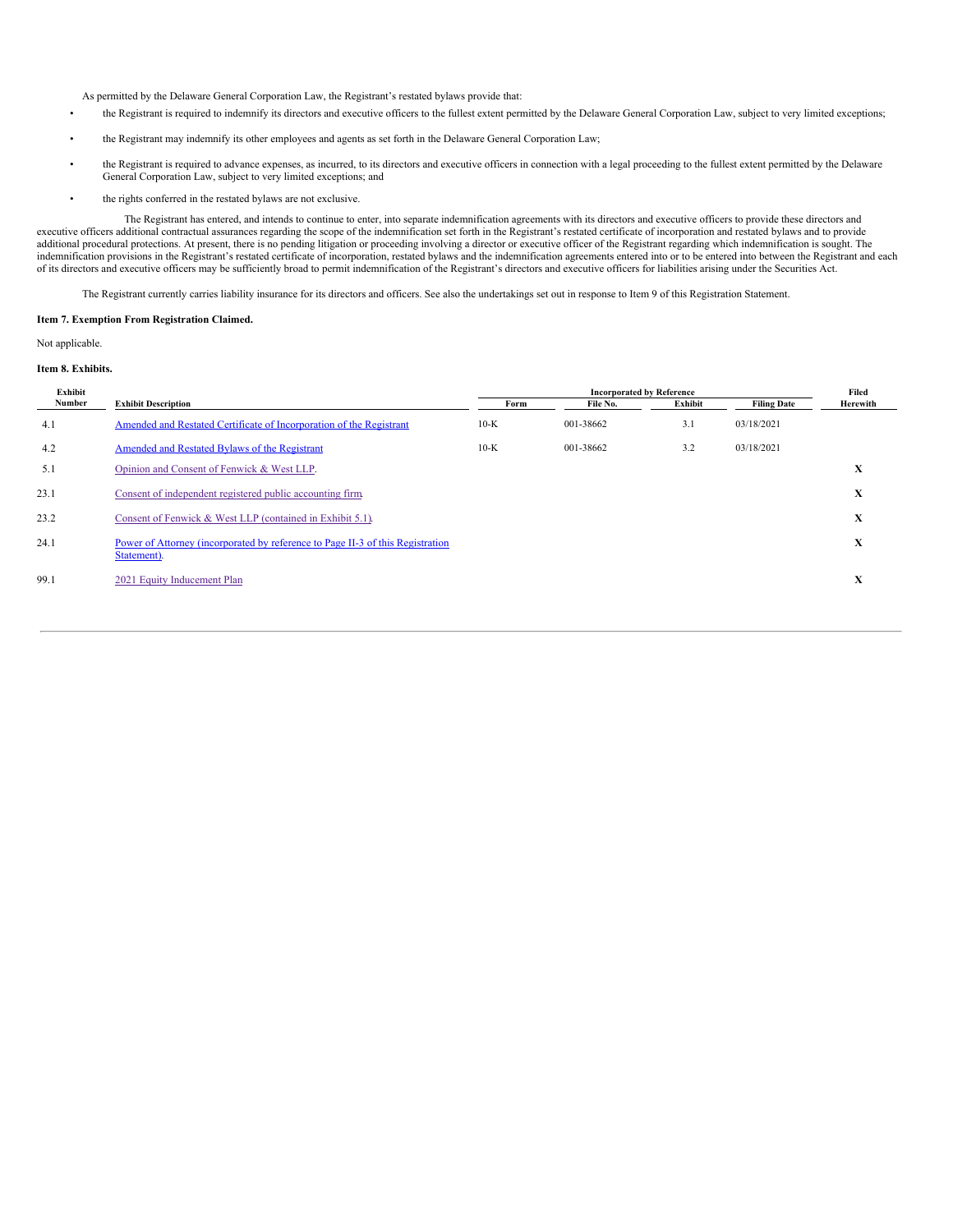As permitted by the Delaware General Corporation Law, the Registrant's restated bylaws provide that:

- the Registrant is required to indemnify its directors and executive officers to the fullest extent permitted by the Delaware General Corporation Law, subject to very limited exceptions;
- the Registrant may indemnify its other employees and agents as set forth in the Delaware General Corporation Law;
- the Registrant is required to advance expenses, as incurred, to its directors and executive officers in connection with a legal proceeding to the fullest extent permitted by the Delaware General Corporation Law, subject to very limited exceptions; and
- the rights conferred in the restated bylaws are not exclusive.

The Registrant has entered, and intends to continue to enter, into separate indemnification agreements with its directors and executive officers to provide these directors and executive officers additional contractual assurances regarding the scope of the indemnification set forth in the Registrant's restated certificate of incorporation and restated bylaws and to provide<br>additional procedural p indemnification provisions in the Registrant's restated certificate of incorporation, restated bylaws and the indemnification agreements entered into or to be entered into between the Registrant and each indemnification ag of its directors and executive officers may be sufficiently broad to permit indemnification of the Registrant's directors and executive officers for liabilities arising under the Securities Act.

The Registrant currently carries liability insurance for its directors and officers. See also the undertakings set out in response to Item 9 of this Registration Statement.

### **Item 7. Exemption From Registration Claimed.**

Not applicable.

## **Item 8. Exhibits.**

| Exhibit |                                                                                               |        | Filed     |         |                    |          |
|---------|-----------------------------------------------------------------------------------------------|--------|-----------|---------|--------------------|----------|
| Number  | <b>Exhibit Description</b>                                                                    | Form   | File No.  | Exhibit | <b>Filing Date</b> | Herewith |
| 4.1     | Amended and Restated Certificate of Incorporation of the Registrant                           | $10-K$ | 001-38662 | 3.1     | 03/18/2021         |          |
| 4.2     | Amended and Restated Bylaws of the Registrant                                                 | $10-K$ | 001-38662 | 3.2     | 03/18/2021         |          |
| 5.1     | Opinion and Consent of Fenwick & West LLP.                                                    |        |           |         |                    | X        |
| 23.1    | Consent of independent registered public accounting firm.                                     |        |           |         |                    | X        |
| 23.2    | Consent of Fenwick & West LLP (contained in Exhibit 5.1).                                     |        |           |         |                    | X        |
| 24.1    | Power of Attorney (incorporated by reference to Page II-3 of this Registration<br>Statement). |        |           |         |                    | X        |
| 99.1    | 2021 Equity Inducement Plan                                                                   |        |           |         |                    | X        |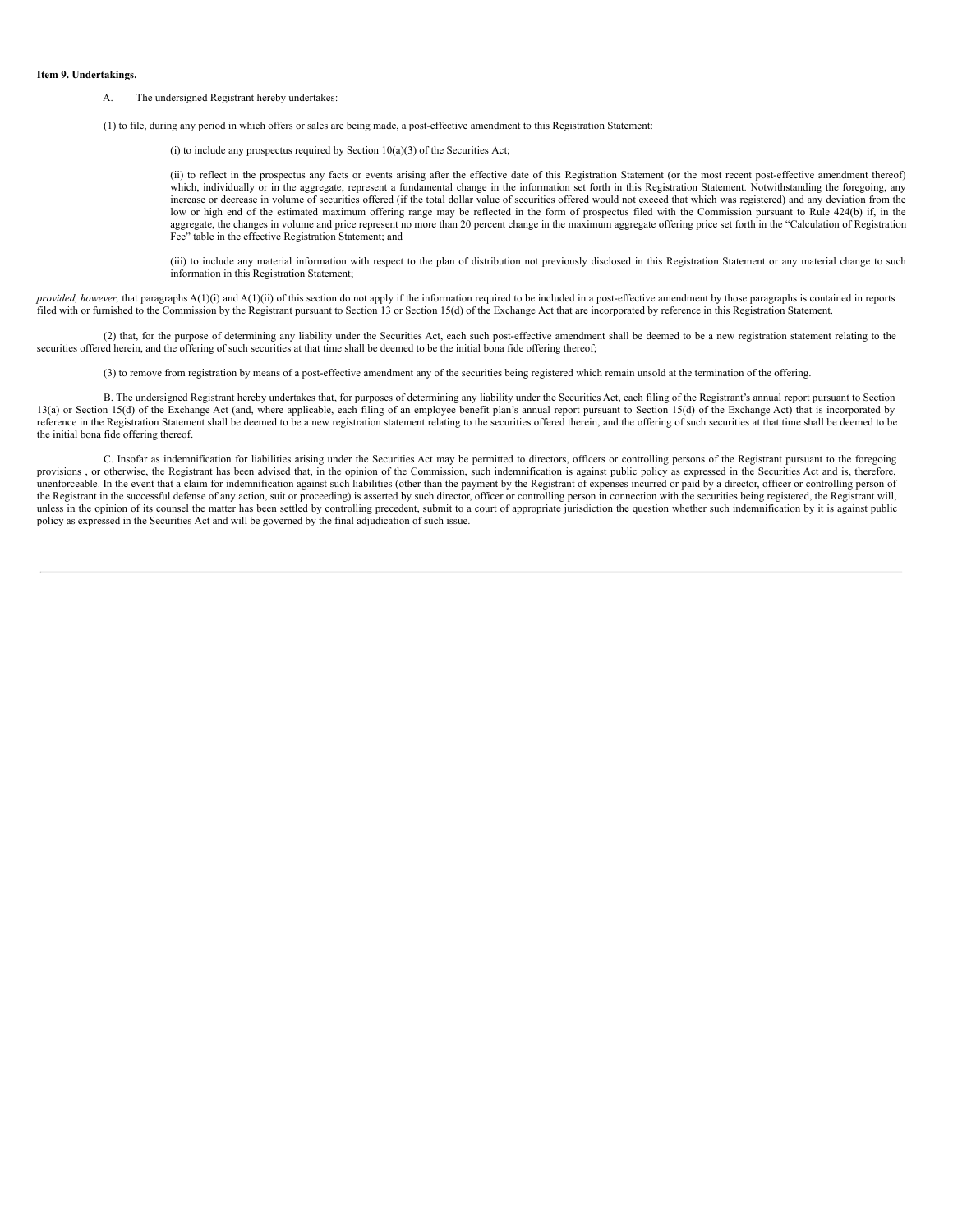#### **Item 9. Undertakings.**

- A. The undersigned Registrant hereby undertakes:
- (1) to file, during any period in which offers or sales are being made, a post-effective amendment to this Registration Statement:

(i) to include any prospectus required by Section  $10(a)(3)$  of the Securities Act;

(ii) to reflect in the prospectus any facts or events arising after the effective date of this Registration Statement (or the most recent post-effective amendment thereof) which, individually or in the aggregate, represent a fundamental change in the information set forth in this Registration Statement. Notwithstanding the foregoing, any increase or decrease in volume of securities offered (if the total dollar value of securities offered would not exceed that which was registered) and any deviation from the low or high end of the estimated maximum offering range may be reflected in the form of prospectus filed with the Commission pursuant to Rule 424(b) if, in the aggregate, the changes in volume and price represent no more than 20 percent change in the maximum aggregate offering price set forth in the "Calculation of Registration Fee" table in the effective Registration Statement; and

(iii) to include any material information with respect to the plan of distribution not previously disclosed in this Registration Statement or any material change to such information in this Registration Statement;

*provided, however,* that paragraphs A(1)(i) and A(1)(ii) of this section do not apply if the information required to be included in a post-effective amendment by those paragraphs is contained in reports filed with or furnished to the Commission by the Registrant pursuant to Section 13 or Section 15(d) of the Exchange Act that are incorporated by reference in this Registration Statement.

(2) that, for the purpose of determining any liability under the Securities Act, each such post-effective amendment shall be deemed to be a new registration statement relating to the securities offered herein, and the offering of such securities at that time shall be deemed to be the initial bona fide offering thereof;

(3) to remove from registration by means of a post-effective amendment any of the securities being registered which remain unsold at the termination of the offering.

B. The undersigned Registrant hereby undertakes that, for purposes of determining any liability under the Securities Act, each filing of the Registrant's annual report pursuant to Section 13(a) or Section 15(d) of the Exchange Act (and, where applicable, each filing of an employee benefit plan's annual report pursuant to Section 15(d) of the Exchange Act) that is incorporated by reference in the Registration Statement shall be deemed to be a new registration statement relating to the securities offered therein, and the offering of such securities at that time shall be deemed to be the initial bona fide offering thereof.

C. Insofar as indemnification for liabilities arising under the Securities Act may be permitted to directors, officers or controlling persons of the Registrant pursuant to the foregoing provisions , or otherwise, the Registrant has been advised that, in the opinion of the Commission, such indemnification is against public policy as expressed in the Securities Act and is, therefore, unenforceable. In the event that a claim for indemnification against such liabilities (other than the payment by the Registrant of expenses incurred or paid by a director, officer or controlling person of the Registrant in the successful defense of any action, suit or proceeding) is asserted by such director, officer or controlling person in connection with the securities being registered, the Registrant will, unless in the opinion of its counsel the matter has been settled by controlling precedent, submit to a court of appropriate jurisdiction the question whether such indemnification by it is against public policy as expressed in the Securities Act and will be governed by the final adjudication of such issue.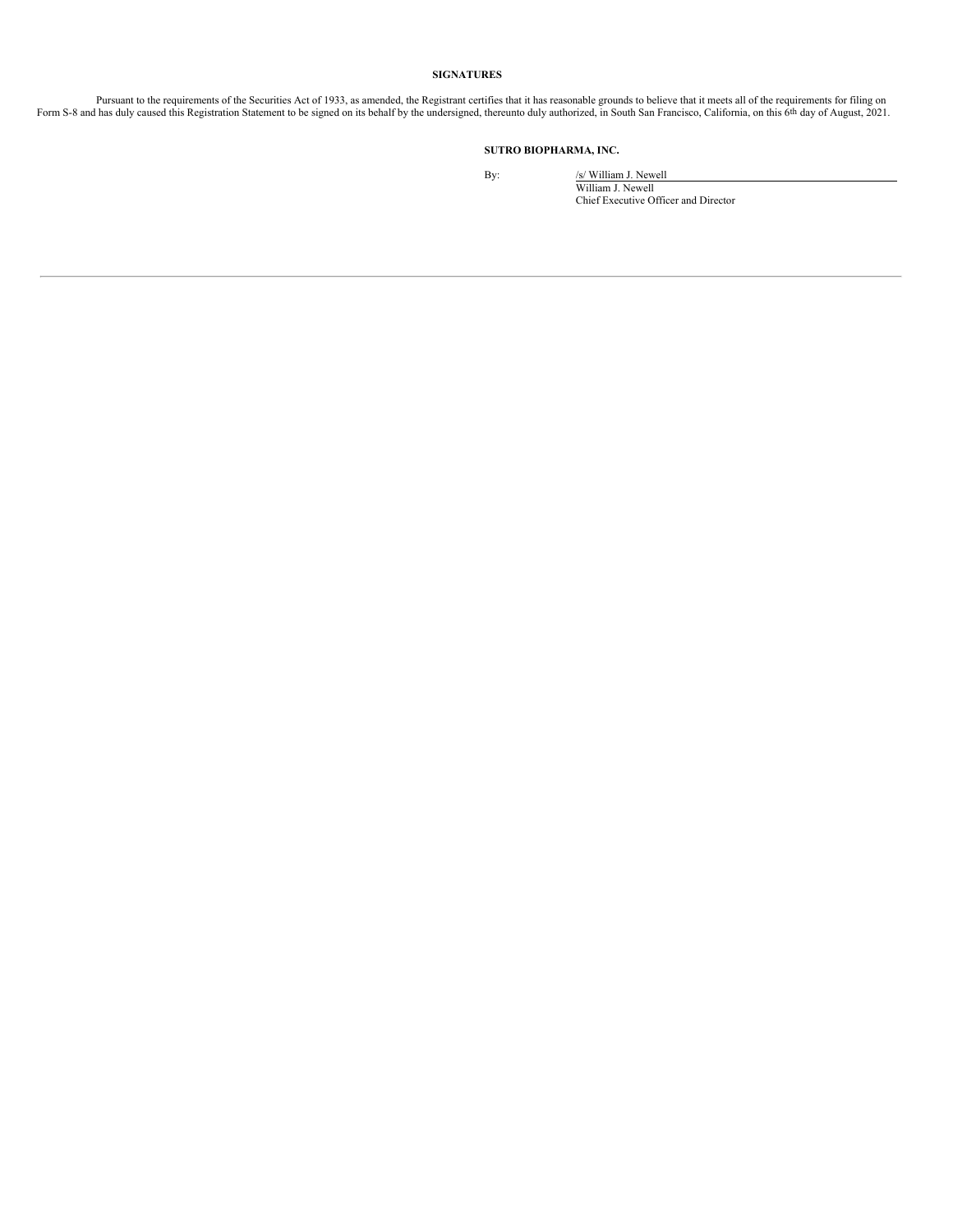## **SIGNATURES**

Pursuant to the requirements of the Securities Act of 1933, as amended, the Registrant certifies that it has reasonable grounds to believe that it meets all of the requirements for filing on Form S-8 and has duly caused th

# **SUTRO BIOPHARMA, INC.**

By: /s/ William J. Newell William J. Newell Chief Executive Officer and Director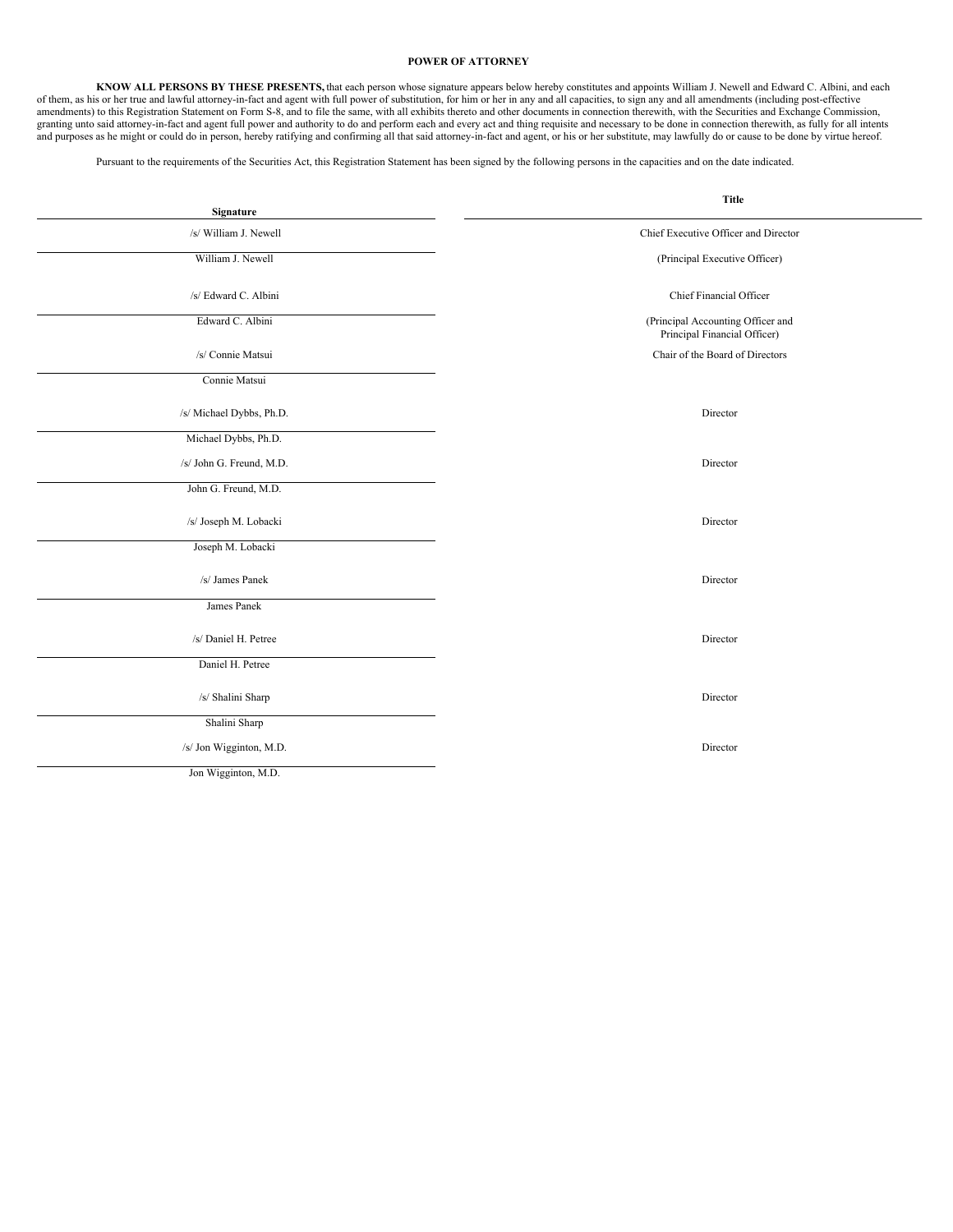# <span id="page-7-0"></span>**POWER OF ATTORNEY**

KNOW ALL PERSONS BY THESE PRESENTS, that each person whose signature appears below hereby constitutes and appoints William J. Newell and Edward C. Albini, and each of them, as his or her true and lawful attorney-in-fact an amendments) to this Registration Statement on Form S-8, and to file the same, with all exhibits thereto and other documents in connection therewith, with the Securities and Exchange Commission, granting unto said attorney-in-fact and agent full power and authority to do and perform each and every act and thing requisite and necessary to be done in connection therewith, as fully for all intents and purposes as he might or could do in person, hereby ratifying and confirming all that said attorney-in-fact and agent, or his or her substitute, may lawfully do or cause to be done by virtue hereof.

Pursuant to the requirements of the Securities Act, this Registration Statement has been signed by the following persons in the capacities and on the date indicated.

| Signature                | <b>Title</b>                                                      |  |  |  |
|--------------------------|-------------------------------------------------------------------|--|--|--|
| /s/ William J. Newell    | Chief Executive Officer and Director                              |  |  |  |
| William J. Newell        | (Principal Executive Officer)                                     |  |  |  |
| /s/ Edward C. Albini     | Chief Financial Officer                                           |  |  |  |
| Edward C. Albini         | (Principal Accounting Officer and<br>Principal Financial Officer) |  |  |  |
| /s/ Connie Matsui        | Chair of the Board of Directors                                   |  |  |  |
| Connie Matsui            |                                                                   |  |  |  |
| /s/ Michael Dybbs, Ph.D. | Director                                                          |  |  |  |
| Michael Dybbs, Ph.D.     |                                                                   |  |  |  |
| /s/ John G. Freund, M.D. | Director                                                          |  |  |  |
| John G. Freund, M.D.     |                                                                   |  |  |  |
| /s/ Joseph M. Lobacki    | Director                                                          |  |  |  |
| Joseph M. Lobacki        |                                                                   |  |  |  |
| /s/ James Panek          | Director                                                          |  |  |  |
| James Panek              |                                                                   |  |  |  |
| /s/ Daniel H. Petree     | Director                                                          |  |  |  |
| Daniel H. Petree         |                                                                   |  |  |  |
| /s/ Shalini Sharp        | Director                                                          |  |  |  |
| Shalini Sharp            |                                                                   |  |  |  |
| /s/ Jon Wigginton, M.D.  | Director                                                          |  |  |  |
| Jon Wigginton, M.D.      |                                                                   |  |  |  |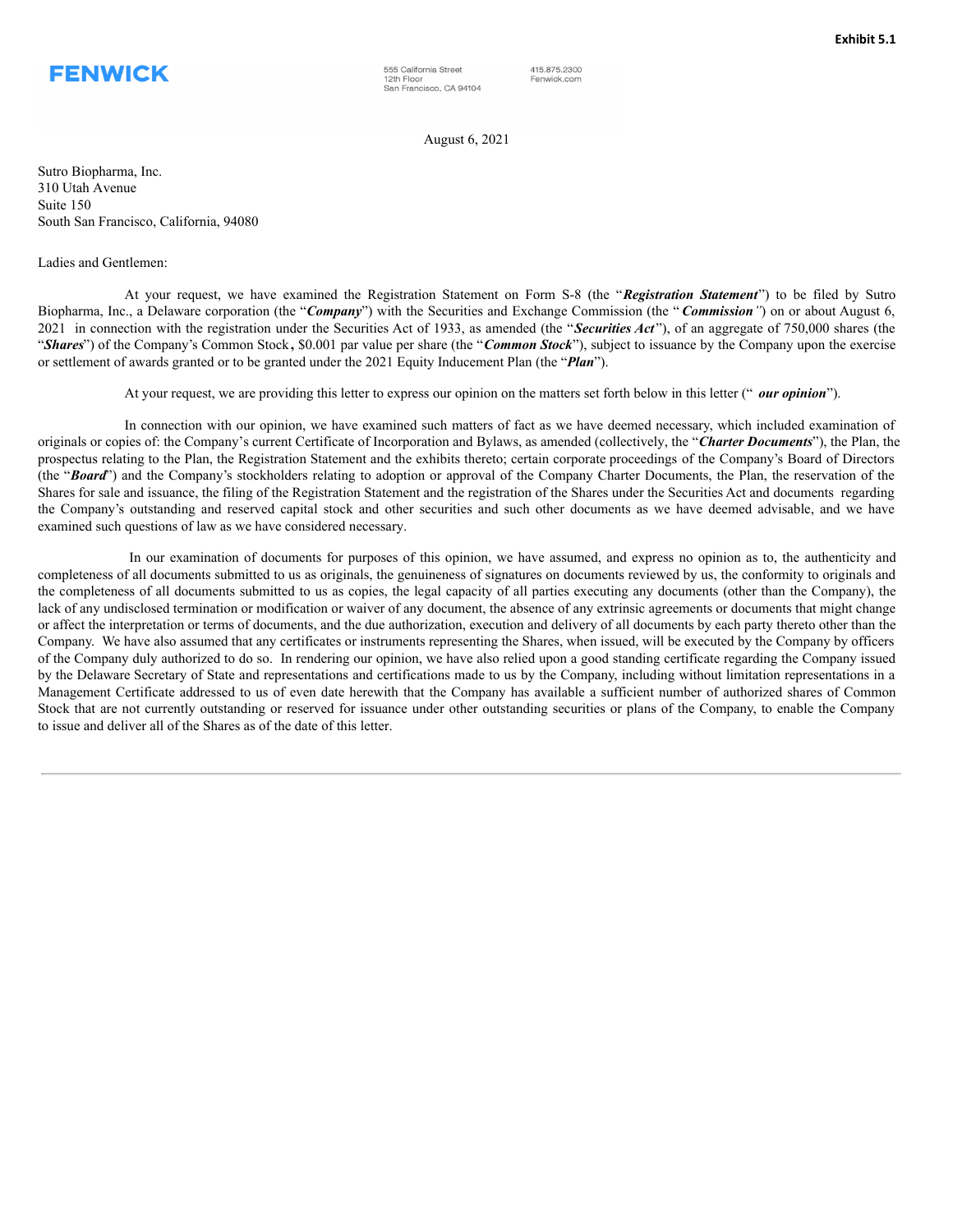<span id="page-8-0"></span>

555 California Street 12th Floor San Francisco, CA 94104 415.875.2300 Fenwick.com

August 6, 2021

Sutro Biopharma, Inc. 310 Utah Avenue Suite 150 South San Francisco, California, 94080

Ladies and Gentlemen:

At your request, we have examined the Registration Statement on Form S-8 (the "*Registration Statement*") to be filed by Sutro Biopharma, Inc., a Delaware corporation (the "*Company*") with the Securities and Exchange Commission (the " *Commission"*) on or about August 6, 2021 in connection with the registration under the Securities Act of 1933, as amended (the "*Securities Act* "), of an aggregate of 750,000 shares (the "*Shares*") of the Company's Common Stock**,** \$0.001 par value per share (the "*Common Stock*"), subject to issuance by the Company upon the exercise or settlement of awards granted or to be granted under the 2021 Equity Inducement Plan (the "*Plan*").

At your request, we are providing this letter to express our opinion on the matters set forth below in this letter (" *our opinion*").

In connection with our opinion, we have examined such matters of fact as we have deemed necessary, which included examination of originals or copies of: the Company's current Certificate of Incorporation and Bylaws, as amended (collectively, the "*Charter Documents*"), the Plan, the prospectus relating to the Plan, the Registration Statement and the exhibits thereto; certain corporate proceedings of the Company's Board of Directors (the "*Board*") and the Company's stockholders relating to adoption or approval of the Company Charter Documents, the Plan, the reservation of the Shares for sale and issuance, the filing of the Registration Statement and the registration of the Shares under the Securities Act and documents regarding the Company's outstanding and reserved capital stock and other securities and such other documents as we have deemed advisable, and we have examined such questions of law as we have considered necessary.

In our examination of documents for purposes of this opinion, we have assumed, and express no opinion as to, the authenticity and completeness of all documents submitted to us as originals, the genuineness of signatures on documents reviewed by us, the conformity to originals and the completeness of all documents submitted to us as copies, the legal capacity of all parties executing any documents (other than the Company), the lack of any undisclosed termination or modification or waiver of any document, the absence of any extrinsic agreements or documents that might change or affect the interpretation or terms of documents, and the due authorization, execution and delivery of all documents by each party thereto other than the Company. We have also assumed that any certificates or instruments representing the Shares, when issued, will be executed by the Company by officers of the Company duly authorized to do so. In rendering our opinion, we have also relied upon a good standing certificate regarding the Company issued by the Delaware Secretary of State and representations and certifications made to us by the Company, including without limitation representations in a Management Certificate addressed to us of even date herewith that the Company has available a sufficient number of authorized shares of Common Stock that are not currently outstanding or reserved for issuance under other outstanding securities or plans of the Company, to enable the Company to issue and deliver all of the Shares as of the date of this letter.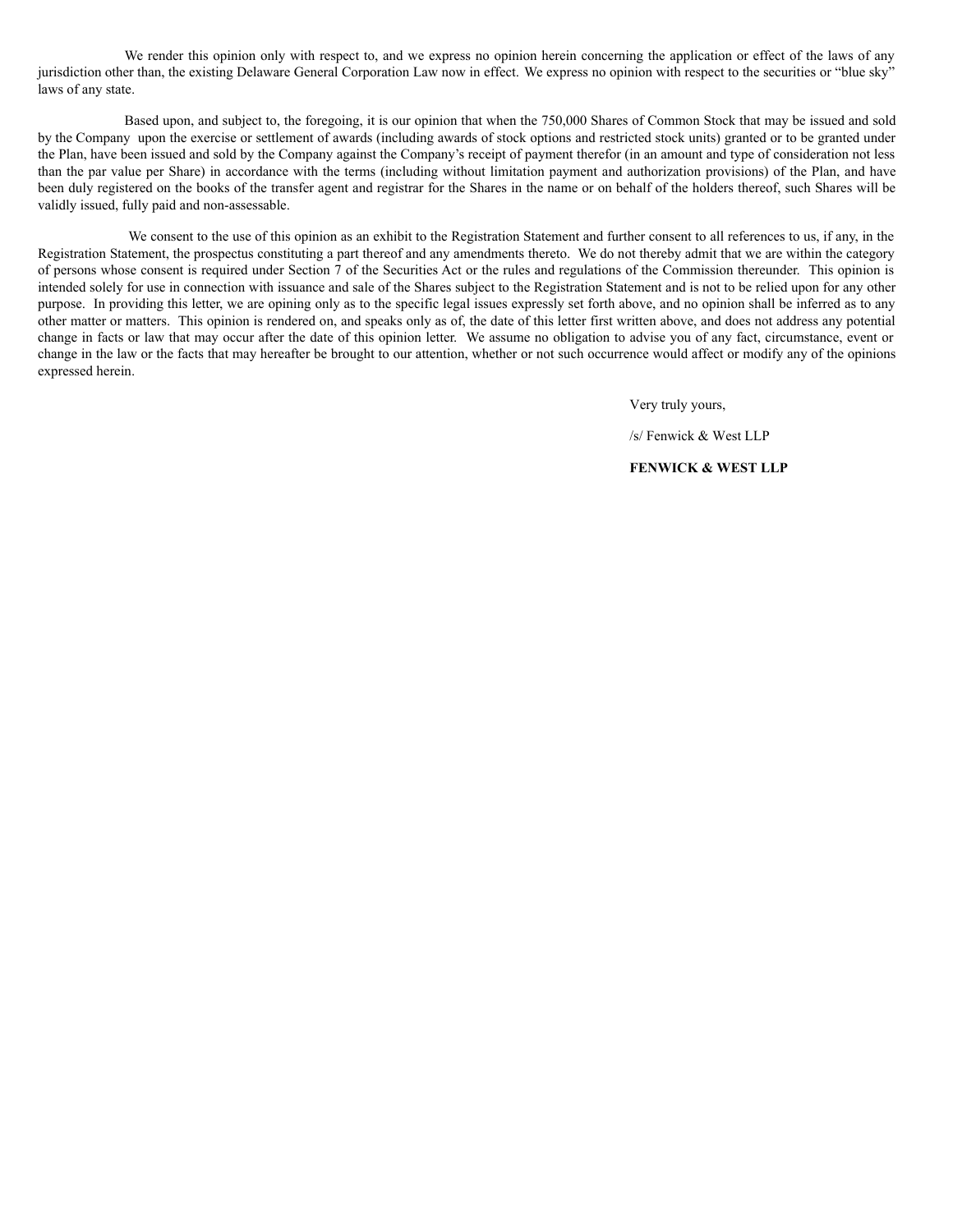We render this opinion only with respect to, and we express no opinion herein concerning the application or effect of the laws of any jurisdiction other than, the existing Delaware General Corporation Law now in effect. We express no opinion with respect to the securities or "blue sky" laws of any state.

Based upon, and subject to, the foregoing, it is our opinion that when the 750,000 Shares of Common Stock that may be issued and sold by the Company upon the exercise or settlement of awards (including awards of stock options and restricted stock units) granted or to be granted under the Plan, have been issued and sold by the Company against the Company's receipt of payment therefor (in an amount and type of consideration not less than the par value per Share) in accordance with the terms (including without limitation payment and authorization provisions) of the Plan, and have been duly registered on the books of the transfer agent and registrar for the Shares in the name or on behalf of the holders thereof, such Shares will be validly issued, fully paid and non-assessable.

We consent to the use of this opinion as an exhibit to the Registration Statement and further consent to all references to us, if any, in the Registration Statement, the prospectus constituting a part thereof and any amendments thereto. We do not thereby admit that we are within the category of persons whose consent is required under Section 7 of the Securities Act or the rules and regulations of the Commission thereunder. This opinion is intended solely for use in connection with issuance and sale of the Shares subject to the Registration Statement and is not to be relied upon for any other purpose. In providing this letter, we are opining only as to the specific legal issues expressly set forth above, and no opinion shall be inferred as to any other matter or matters. This opinion is rendered on, and speaks only as of, the date of this letter first written above, and does not address any potential change in facts or law that may occur after the date of this opinion letter. We assume no obligation to advise you of any fact, circumstance, event or change in the law or the facts that may hereafter be brought to our attention, whether or not such occurrence would affect or modify any of the opinions expressed herein.

Very truly yours,

/s/ Fenwick & West LLP

**FENWICK & WEST LLP**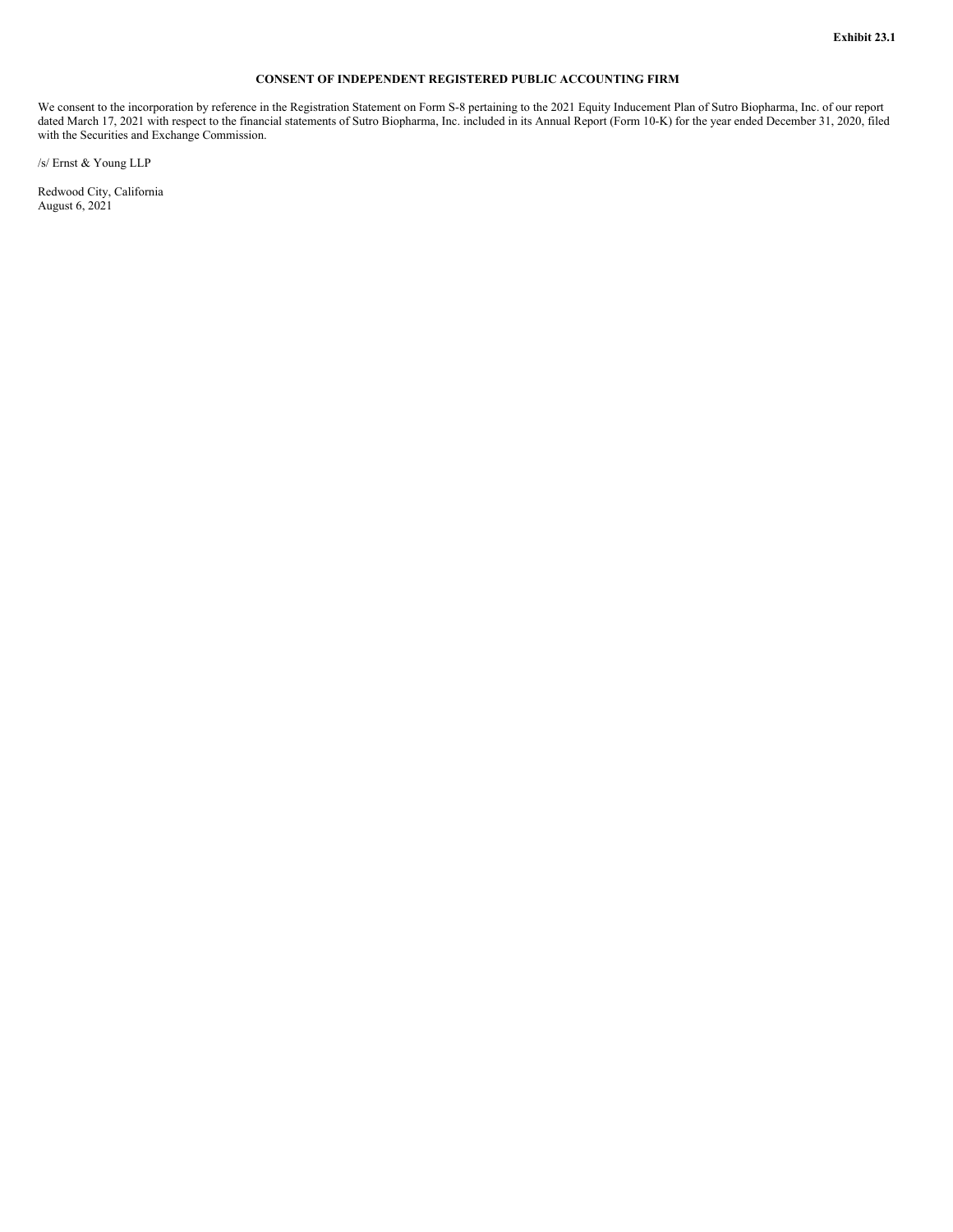# **CONSENT OF INDEPENDENT REGISTERED PUBLIC ACCOUNTING FIRM**

<span id="page-10-0"></span>We consent to the incorporation by reference in the Registration Statement on Form S-8 pertaining to the 2021 Equity Inducement Plan of Sutro Biopharma, Inc. of our report dated March 17, 2021 with respect to the financial statements of Sutro Biopharma, Inc. included in its Annual Report (Form 10-K) for the year ended December 31, 2020, filed with the Securities and Exchange Commission.

/s/ Ernst & Young LLP

Redwood City, California August 6, 2021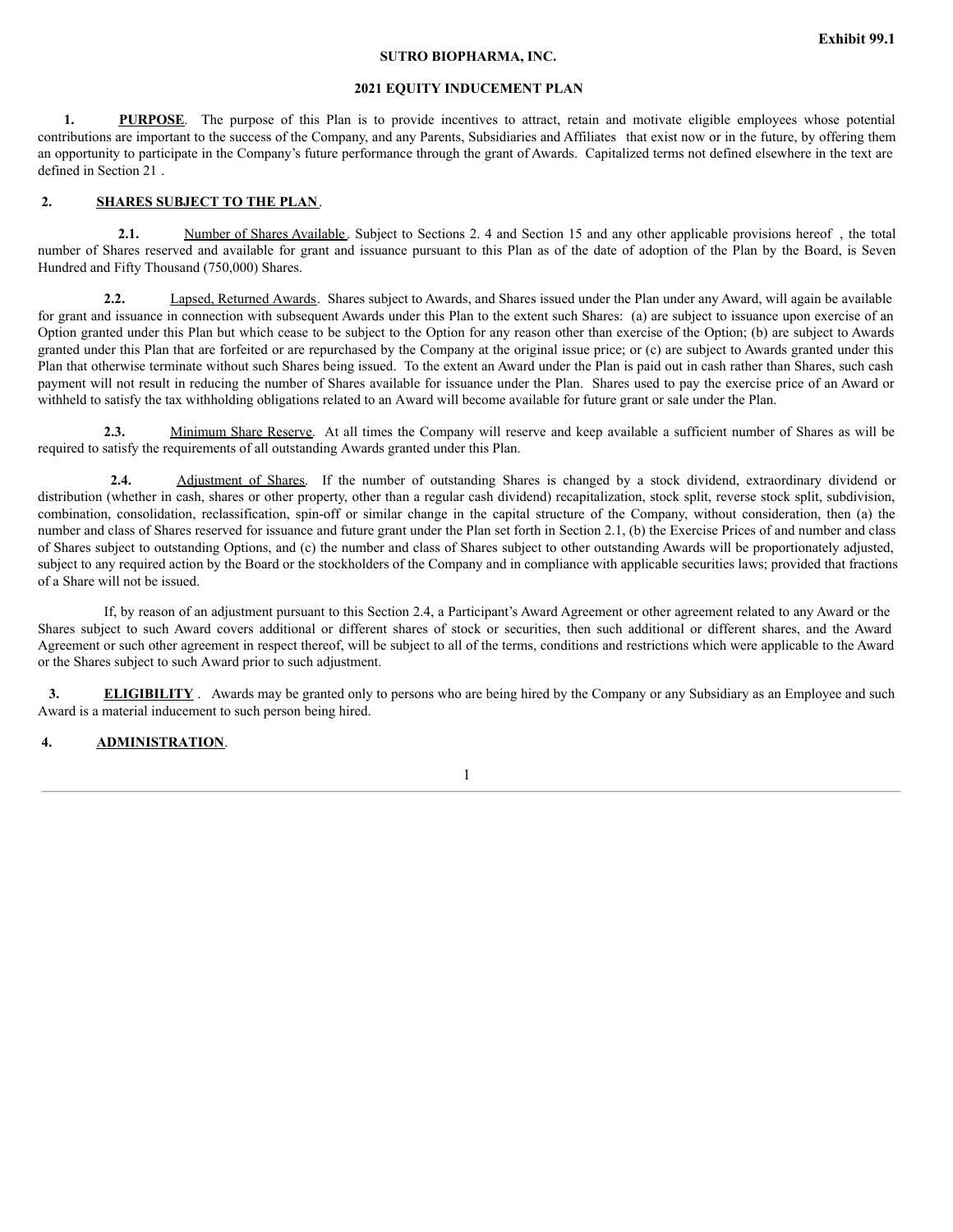# **SUTRO BIOPHARMA, INC.**

# **2021 EQUITY INDUCEMENT PLAN**

1. **PURPOSE**. The purpose of this Plan is to provide incentives to attract, retain and motivate eligible employees whose potential contributions are important to the success of the Company, and any Parents, Subsidiaries and Affiliates that exist now or in the future, by offering them an opportunity to participate in the Company's future performance through the grant of Awards. Capitalized terms not defined elsewhere in the text are defined in Section 21 .

# **2. SHARES SUBJECT TO THE PLAN**.

**2.1.** Number of Shares Available . Subject to Sections 2. 4 and Section 15 and any other applicable provisions hereof , the total number of Shares reserved and available for grant and issuance pursuant to this Plan as of the date of adoption of the Plan by the Board, is Seven Hundred and Fifty Thousand (750,000) Shares.

**2.2.** Lapsed, Returned Awards. Shares subject to Awards, and Shares issued under the Plan under any Award, will again be available for grant and issuance in connection with subsequent Awards under this Plan to the extent such Shares: (a) are subject to issuance upon exercise of an Option granted under this Plan but which cease to be subject to the Option for any reason other than exercise of the Option; (b) are subject to Awards granted under this Plan that are forfeited or are repurchased by the Company at the original issue price; or (c) are subject to Awards granted under this Plan that otherwise terminate without such Shares being issued. To the extent an Award under the Plan is paid out in cash rather than Shares, such cash payment will not result in reducing the number of Shares available for issuance under the Plan. Shares used to pay the exercise price of an Award or withheld to satisfy the tax withholding obligations related to an Award will become available for future grant or sale under the Plan.

**2.3.** Minimum Share Reserve. At all times the Company will reserve and keep available a sufficient number of Shares as will be required to satisfy the requirements of all outstanding Awards granted under this Plan.

**2.4.** Adjustment of Shares. If the number of outstanding Shares is changed by a stock dividend, extraordinary dividend or distribution (whether in cash, shares or other property, other than a regular cash dividend) recapitalization, stock split, reverse stock split, subdivision, combination, consolidation, reclassification, spin-off or similar change in the capital structure of the Company, without consideration, then (a) the number and class of Shares reserved for issuance and future grant under the Plan set forth in Section 2.1, (b) the Exercise Prices of and number and class of Shares subject to outstanding Options, and (c) the number and class of Shares subject to other outstanding Awards will be proportionately adjusted, subject to any required action by the Board or the stockholders of the Company and in compliance with applicable securities laws; provided that fractions of a Share will not be issued.

If, by reason of an adjustment pursuant to this Section 2.4, a Participant's Award Agreement or other agreement related to any Award or the Shares subject to such Award covers additional or different shares of stock or securities, then such additional or different shares, and the Award Agreement or such other agreement in respect thereof, will be subject to all of the terms, conditions and restrictions which were applicable to the Award or the Shares subject to such Award prior to such adjustment.

**3. ELIGIBILITY** . Awards may be granted only to persons who are being hired by the Company or any Subsidiary as an Employee and such Award is a material inducement to such person being hired.

# **4. ADMINISTRATION**.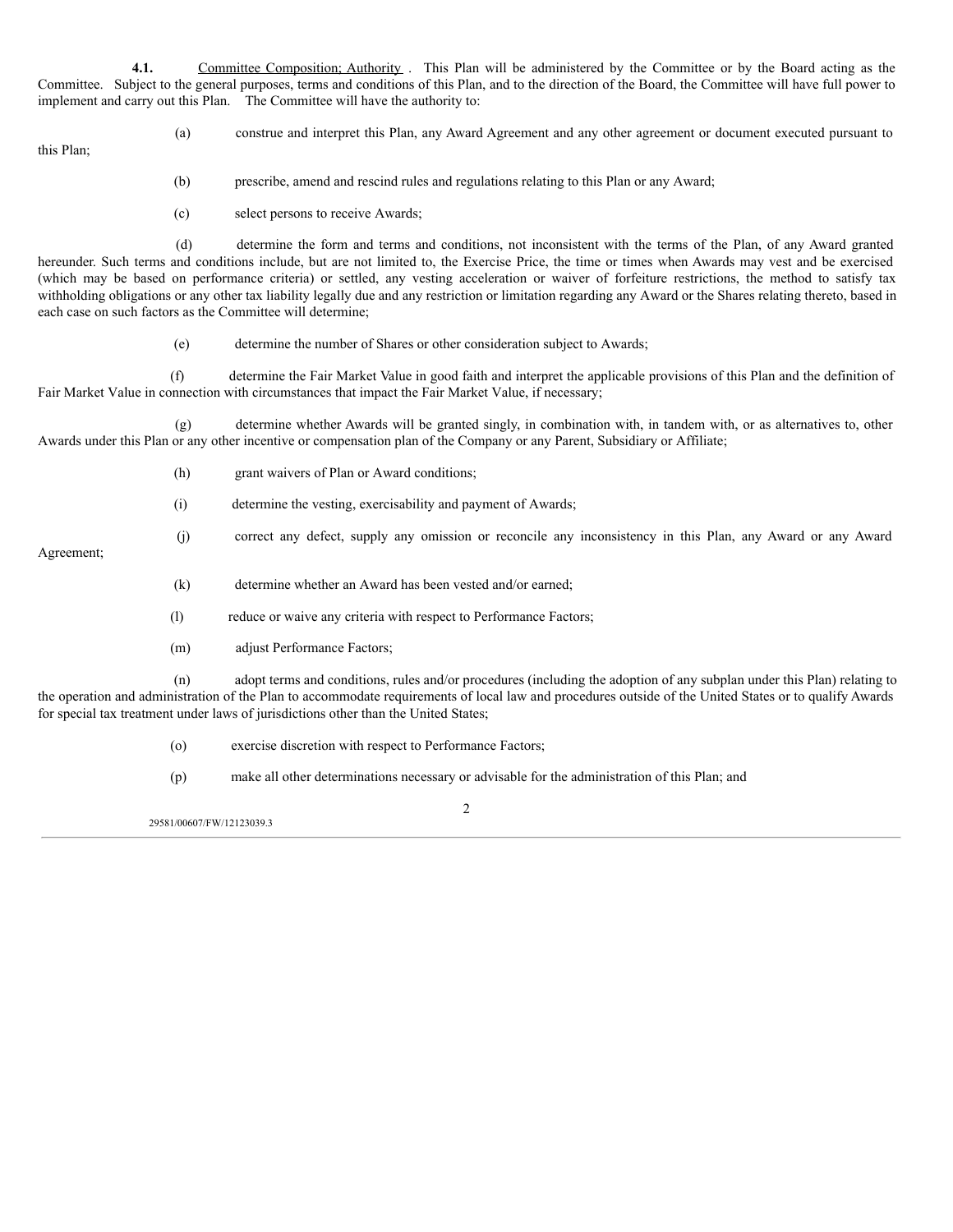**4.1.** Committee Composition; Authority . This Plan will be administered by the Committee or by the Board acting as the Committee. Subject to the general purposes, terms and conditions of this Plan, and to the direction of the Board, the Committee will have full power to implement and carry out this Plan. The Committee will have the authority to:

this Plan;

(a) construe and interpret this Plan, any Award Agreement and any other agreement or document executed pursuant to

(j) correct any defect, supply any omission or reconcile any inconsistency in this Plan, any Award or any Award

(b) prescribe, amend and rescind rules and regulations relating to this Plan or any Award;

(c) select persons to receive Awards;

(d) determine the form and terms and conditions, not inconsistent with the terms of the Plan, of any Award granted hereunder. Such terms and conditions include, but are not limited to, the Exercise Price, the time or times when Awards may vest and be exercised (which may be based on performance criteria) or settled, any vesting acceleration or waiver of forfeiture restrictions, the method to satisfy tax withholding obligations or any other tax liability legally due and any restriction or limitation regarding any Award or the Shares relating thereto, based in each case on such factors as the Committee will determine;

(e) determine the number of Shares or other consideration subject to Awards;

(f) determine the Fair Market Value in good faith and interpret the applicable provisions of this Plan and the definition of Fair Market Value in connection with circumstances that impact the Fair Market Value, if necessary;

(g) determine whether Awards will be granted singly, in combination with, in tandem with, or as alternatives to, other Awards under this Plan or any other incentive or compensation plan of the Company or any Parent, Subsidiary or Affiliate;

- (h) grant waivers of Plan or Award conditions;
- (i) determine the vesting, exercisability and payment of Awards;

Agreement;

- (k) determine whether an Award has been vested and/or earned;
- (l) reduce or waive any criteria with respect to Performance Factors;
- (m) adjust Performance Factors;

(n) adopt terms and conditions, rules and/or procedures (including the adoption of any subplan under this Plan) relating to the operation and administration of the Plan to accommodate requirements of local law and procedures outside of the United States or to qualify Awards for special tax treatment under laws of jurisdictions other than the United States;

(o) exercise discretion with respect to Performance Factors;

(p) make all other determinations necessary or advisable for the administration of this Plan; and

29581/00607/FW/12123039.3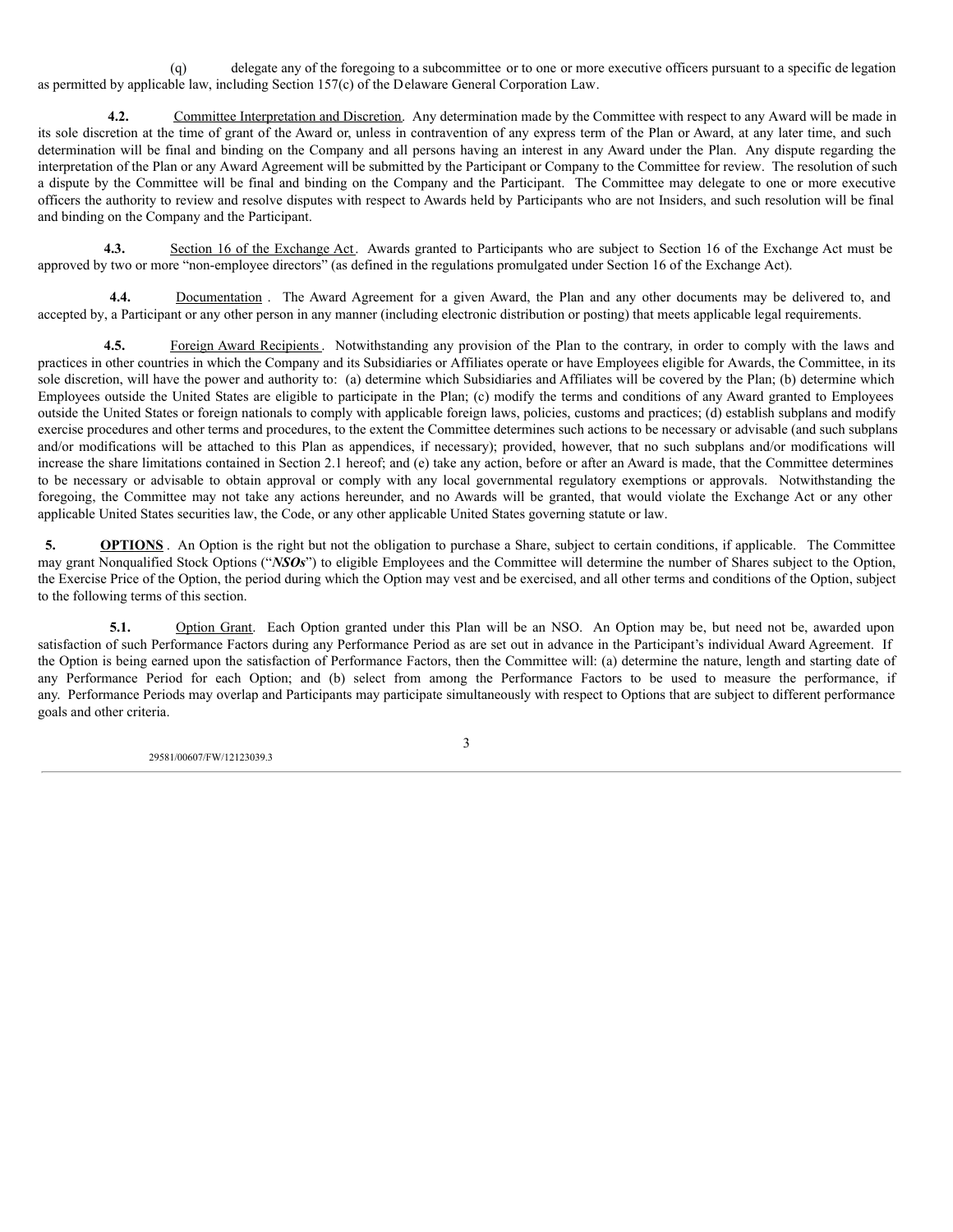(q) delegate any of the foregoing to a subcommittee or to one or more executive officers pursuant to a specific de legation as permitted by applicable law, including Section 157(c) of the Delaware General Corporation Law.

**4.2.** Committee Interpretation and Discretion. Any determination made by the Committee with respect to any Award will be made in its sole discretion at the time of grant of the Award or, unless in contravention of any express term of the Plan or Award, at any later time, and such determination will be final and binding on the Company and all persons having an interest in any Award under the Plan. Any dispute regarding the interpretation of the Plan or any Award Agreement will be submitted by the Participant or Company to the Committee for review. The resolution of such a dispute by the Committee will be final and binding on the Company and the Participant. The Committee may delegate to one or more executive officers the authority to review and resolve disputes with respect to Awards held by Participants who are not Insiders, and such resolution will be final and binding on the Company and the Participant.

**4.3.** Section 16 of the Exchange Act. Awards granted to Participants who are subject to Section 16 of the Exchange Act must be approved by two or more "non-employee directors" (as defined in the regulations promulgated under Section 16 of the Exchange Act).

**4.4.** Documentation . The Award Agreement for a given Award, the Plan and any other documents may be delivered to, and accepted by, a Participant or any other person in any manner (including electronic distribution or posting) that meets applicable legal requirements.

**4.5.** Foreign Award Recipients. Notwithstanding any provision of the Plan to the contrary, in order to comply with the laws and practices in other countries in which the Company and its Subsidiaries or Affiliates operate or have Employees eligible for Awards, the Committee, in its sole discretion, will have the power and authority to: (a) determine which Subsidiaries and Affiliates will be covered by the Plan; (b) determine which Employees outside the United States are eligible to participate in the Plan; (c) modify the terms and conditions of any Award granted to Employees outside the United States or foreign nationals to comply with applicable foreign laws, policies, customs and practices; (d) establish subplans and modify exercise procedures and other terms and procedures, to the extent the Committee determines such actions to be necessary or advisable (and such subplans and/or modifications will be attached to this Plan as appendices, if necessary); provided, however, that no such subplans and/or modifications will increase the share limitations contained in Section 2.1 hereof; and (e) take any action, before or after an Award is made, that the Committee determines to be necessary or advisable to obtain approval or comply with any local governmental regulatory exemptions or approvals. Notwithstanding the foregoing, the Committee may not take any actions hereunder, and no Awards will be granted, that would violate the Exchange Act or any other applicable United States securities law, the Code, or any other applicable United States governing statute or law.

**5. OPTIONS** . An Option is the right but not the obligation to purchase a Share, subject to certain conditions, if applicable. The Committee may grant Nonqualified Stock Options ("*NSOs*") to eligible Employees and the Committee will determine the number of Shares subject to the Option, the Exercise Price of the Option, the period during which the Option may vest and be exercised, and all other terms and conditions of the Option, subject to the following terms of this section.

**5.1.** Option Grant. Each Option granted under this Plan will be an NSO. An Option may be, but need not be, awarded upon satisfaction of such Performance Factors during any Performance Period as are set out in advance in the Participant's individual Award Agreement. If the Option is being earned upon the satisfaction of Performance Factors, then the Committee will: (a) determine the nature, length and starting date of any Performance Period for each Option; and (b) select from among the Performance Factors to be used to measure the performance, if any. Performance Periods may overlap and Participants may participate simultaneously with respect to Options that are subject to different performance goals and other criteria.

29581/00607/FW/12123039.3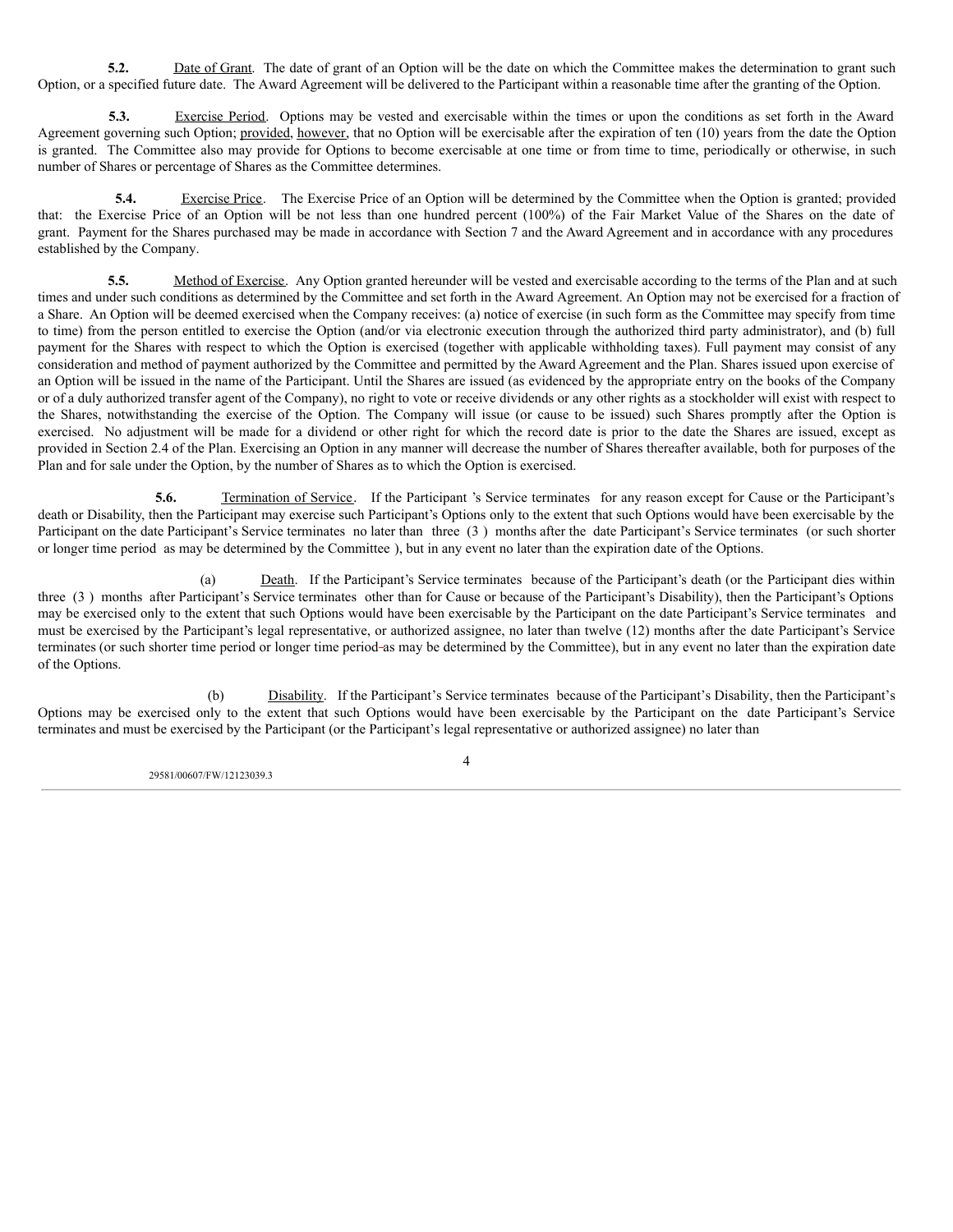**5.2.** Date of Grant. The date of grant of an Option will be the date on which the Committee makes the determination to grant such Option, or a specified future date. The Award Agreement will be delivered to the Participant within a reasonable time after the granting of the Option.

**5.3.** Exercise Period. Options may be vested and exercisable within the times or upon the conditions as set forth in the Award Agreement governing such Option; provided, however, that no Option will be exercisable after the expiration of ten (10) years from the date the Option is granted. The Committee also may provide for Options to become exercisable at one time or from time to time, periodically or otherwise, in such number of Shares or percentage of Shares as the Committee determines.

**5.4.** Exercise Price. The Exercise Price of an Option will be determined by the Committee when the Option is granted; provided that: the Exercise Price of an Option will be not less than one hundred percent (100%) of the Fair Market Value of the Shares on the date of grant. Payment for the Shares purchased may be made in accordance with Section 7 and the Award Agreement and in accordance with any procedures established by the Company.

**5.5.** Method of Exercise. Any Option granted hereunder will be vested and exercisable according to the terms of the Plan and at such times and under such conditions as determined by the Committee and set forth in the Award Agreement. An Option may not be exercised for a fraction of a Share. An Option will be deemed exercised when the Company receives: (a) notice of exercise (in such form as the Committee may specify from time to time) from the person entitled to exercise the Option (and/or via electronic execution through the authorized third party administrator), and (b) full payment for the Shares with respect to which the Option is exercised (together with applicable withholding taxes). Full payment may consist of any consideration and method of payment authorized by the Committee and permitted by the Award Agreement and the Plan. Shares issued upon exercise of an Option will be issued in the name of the Participant. Until the Shares are issued (as evidenced by the appropriate entry on the books of the Company or of a duly authorized transfer agent of the Company), no right to vote or receive dividends or any other rights as a stockholder will exist with respect to the Shares, notwithstanding the exercise of the Option. The Company will issue (or cause to be issued) such Shares promptly after the Option is exercised. No adjustment will be made for a dividend or other right for which the record date is prior to the date the Shares are issued, except as provided in Section 2.4 of the Plan. Exercising an Option in any manner will decrease the number of Shares thereafter available, both for purposes of the Plan and for sale under the Option, by the number of Shares as to which the Option is exercised.

**5.6.** Termination of Service. If the Participant 's Service terminates for any reason except for Cause or the Participant's death or Disability, then the Participant may exercise such Participant's Options only to the extent that such Options would have been exercisable by the Participant on the date Participant's Service terminates no later than three (3 ) months after the date Participant's Service terminates (or such shorter or longer time period as may be determined by the Committee ), but in any event no later than the expiration date of the Options.

(a) Death. If the Participant's Service terminates because of the Participant's death (or the Participant dies within three (3 ) months after Participant's Service terminates other than for Cause or because of the Participant's Disability), then the Participant's Options may be exercised only to the extent that such Options would have been exercisable by the Participant on the date Participant's Service terminates and must be exercised by the Participant's legal representative, or authorized assignee, no later than twelve (12) months after the date Participant's Service terminates (or such shorter time period or longer time period as may be determined by the Committee), but in any event no later than the expiration date of the Options.

(b) Disability. If the Participant's Service terminates because of the Participant's Disability, then the Participant's Options may be exercised only to the extent that such Options would have been exercisable by the Participant on the date Participant's Service terminates and must be exercised by the Participant (or the Participant's legal representative or authorized assignee) no later than

29581/00607/FW/12123039.3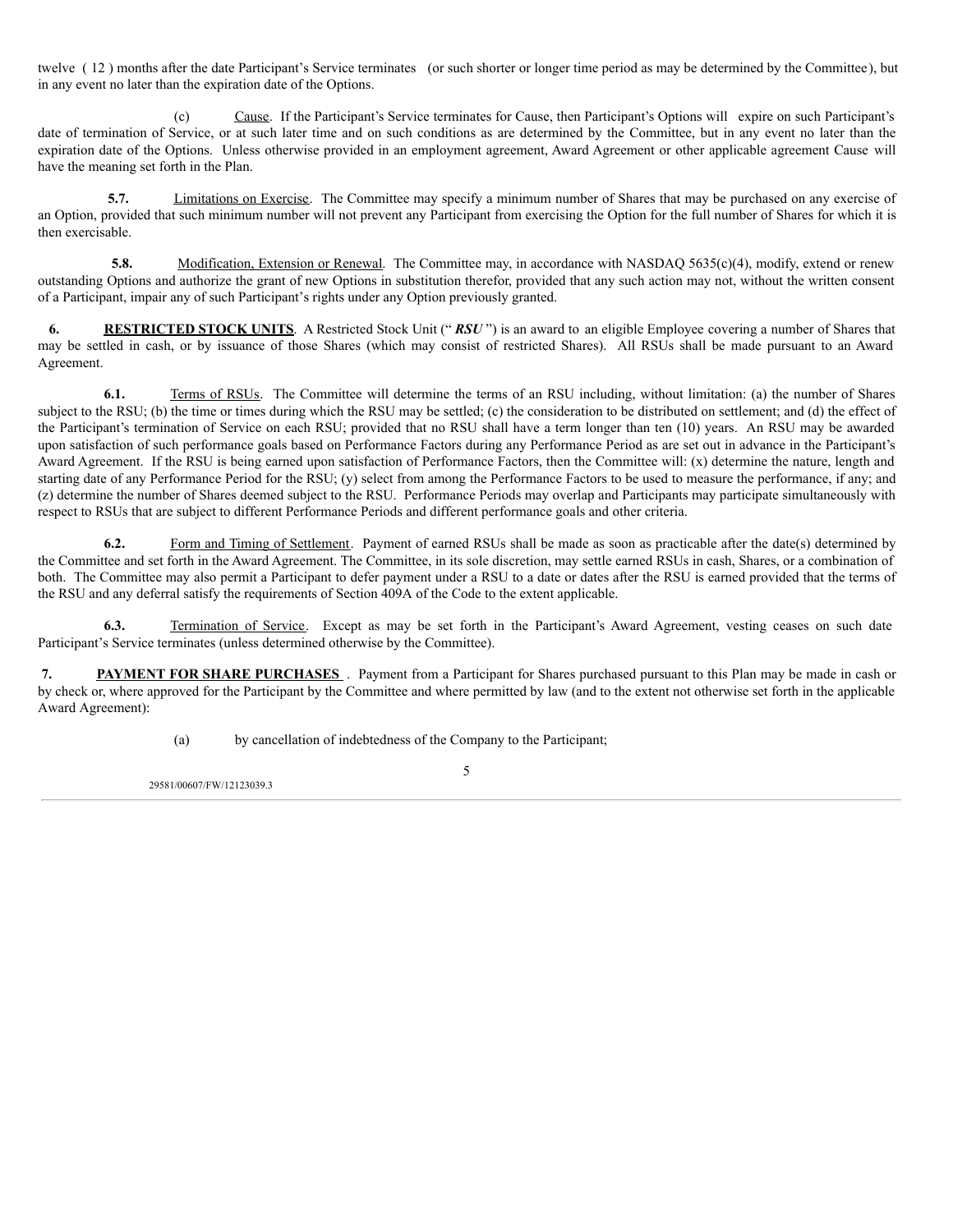twelve ( 12 ) months after the date Participant's Service terminates (or such shorter or longer time period as may be determined by the Committee), but in any event no later than the expiration date of the Options.

(c) Cause. If the Participant's Service terminates for Cause, then Participant's Options will expire on such Participant's date of termination of Service, or at such later time and on such conditions as are determined by the Committee, but in any event no later than the expiration date of the Options. Unless otherwise provided in an employment agreement, Award Agreement or other applicable agreement Cause will have the meaning set forth in the Plan.

**5.7.** Limitations on Exercise. The Committee may specify a minimum number of Shares that may be purchased on any exercise of an Option, provided that such minimum number will not prevent any Participant from exercising the Option for the full number of Shares for which it is then exercisable.

**5.8.** Modification, Extension or Renewal. The Committee may, in accordance with NASDAQ 5635(c)(4), modify, extend or renew outstanding Options and authorize the grant of new Options in substitution therefor, provided that any such action may not, without the written consent of a Participant, impair any of such Participant's rights under any Option previously granted.

**6. RESTRICTED STOCK UNITS**. A Restricted Stock Unit (" *RSU* ") is an award to an eligible Employee covering a number of Shares that may be settled in cash, or by issuance of those Shares (which may consist of restricted Shares). All RSUs shall be made pursuant to an Award Agreement.

**6.1.** Terms of RSUs. The Committee will determine the terms of an RSU including, without limitation: (a) the number of Shares subject to the RSU; (b) the time or times during which the RSU may be settled; (c) the consideration to be distributed on settlement; and (d) the effect of the Participant's termination of Service on each RSU; provided that no RSU shall have a term longer than ten (10) years. An RSU may be awarded upon satisfaction of such performance goals based on Performance Factors during any Performance Period as are set out in advance in the Participant's Award Agreement. If the RSU is being earned upon satisfaction of Performance Factors, then the Committee will: (x) determine the nature, length and starting date of any Performance Period for the RSU; (y) select from among the Performance Factors to be used to measure the performance, if any; and (z) determine the number of Shares deemed subject to the RSU. Performance Periods may overlap and Participants may participate simultaneously with respect to RSUs that are subject to different Performance Periods and different performance goals and other criteria.

**6.2.** Form and Timing of Settlement. Payment of earned RSUs shall be made as soon as practicable after the date(s) determined by the Committee and set forth in the Award Agreement. The Committee, in its sole discretion, may settle earned RSUs in cash, Shares, or a combination of both. The Committee may also permit a Participant to defer payment under a RSU to a date or dates after the RSU is earned provided that the terms of the RSU and any deferral satisfy the requirements of Section 409A of the Code to the extent applicable.

**6.3.** Termination of Service. Except as may be set forth in the Participant's Award Agreement, vesting ceases on such date Participant's Service terminates (unless determined otherwise by the Committee).

**7. PAYMENT FOR SHARE PURCHASES** . Payment from a Participant for Shares purchased pursuant to this Plan may be made in cash or by check or, where approved for the Participant by the Committee and where permitted by law (and to the extent not otherwise set forth in the applicable Award Agreement):

(a) by cancellation of indebtedness of the Company to the Participant;

29581/00607/FW/12123039.3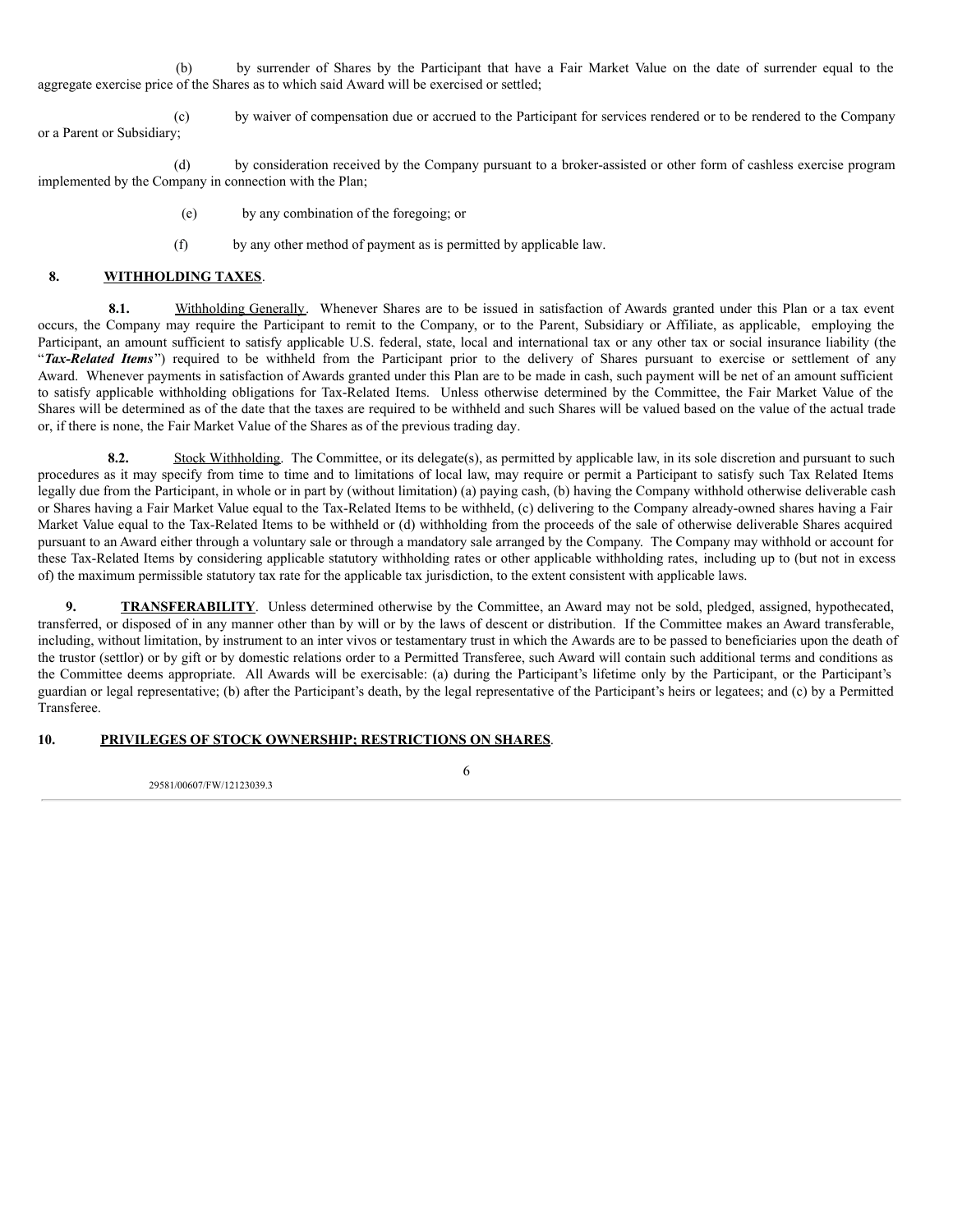(b) by surrender of Shares by the Participant that have a Fair Market Value on the date of surrender equal to the aggregate exercise price of the Shares as to which said Award will be exercised or settled;

(c) by waiver of compensation due or accrued to the Participant for services rendered or to be rendered to the Company or a Parent or Subsidiary;

(d) by consideration received by the Company pursuant to a broker-assisted or other form of cashless exercise program implemented by the Company in connection with the Plan;

- (e) by any combination of the foregoing; or
- (f) by any other method of payment as is permitted by applicable law.

# **8. WITHHOLDING TAXES**.

**8.1.** Withholding Generally. Whenever Shares are to be issued in satisfaction of Awards granted under this Plan or a tax event occurs, the Company may require the Participant to remit to the Company, or to the Parent, Subsidiary or Affiliate, as applicable, employing the Participant, an amount sufficient to satisfy applicable U.S. federal, state, local and international tax or any other tax or social insurance liability (the "Tax-Related Items") required to be withheld from the Participant prior to the delivery of Shares pursuant to exercise or settlement of any Award. Whenever payments in satisfaction of Awards granted under this Plan are to be made in cash, such payment will be net of an amount sufficient to satisfy applicable withholding obligations for Tax-Related Items. Unless otherwise determined by the Committee, the Fair Market Value of the Shares will be determined as of the date that the taxes are required to be withheld and such Shares will be valued based on the value of the actual trade or, if there is none, the Fair Market Value of the Shares as of the previous trading day.

**8.2.** Stock Withholding. The Committee, or its delegate(s), as permitted by applicable law, in its sole discretion and pursuant to such procedures as it may specify from time to time and to limitations of local law, may require or permit a Participant to satisfy such Tax Related Items legally due from the Participant, in whole or in part by (without limitation) (a) paying cash, (b) having the Company withhold otherwise deliverable cash or Shares having a Fair Market Value equal to the Tax-Related Items to be withheld, (c) delivering to the Company already-owned shares having a Fair Market Value equal to the Tax-Related Items to be withheld or (d) withholding from the proceeds of the sale of otherwise deliverable Shares acquired pursuant to an Award either through a voluntary sale or through a mandatory sale arranged by the Company. The Company may withhold or account for these Tax-Related Items by considering applicable statutory withholding rates or other applicable withholding rates, including up to (but not in excess of) the maximum permissible statutory tax rate for the applicable tax jurisdiction, to the extent consistent with applicable laws.

**9. TRANSFERABILITY**. Unless determined otherwise by the Committee, an Award may not be sold, pledged, assigned, hypothecated, transferred, or disposed of in any manner other than by will or by the laws of descent or distribution. If the Committee makes an Award transferable, including, without limitation, by instrument to an inter vivos or testamentary trust in which the Awards are to be passed to beneficiaries upon the death of the trustor (settlor) or by gift or by domestic relations order to a Permitted Transferee, such Award will contain such additional terms and conditions as the Committee deems appropriate. All Awards will be exercisable: (a) during the Participant's lifetime only by the Participant, or the Participant's guardian or legal representative; (b) after the Participant's death, by the legal representative of the Participant's heirs or legatees; and (c) by a Permitted Transferee.

# **10. PRIVILEGES OF STOCK OWNERSHIP; RESTRICTIONS ON SHARES**.

29581/00607/FW/12123039.3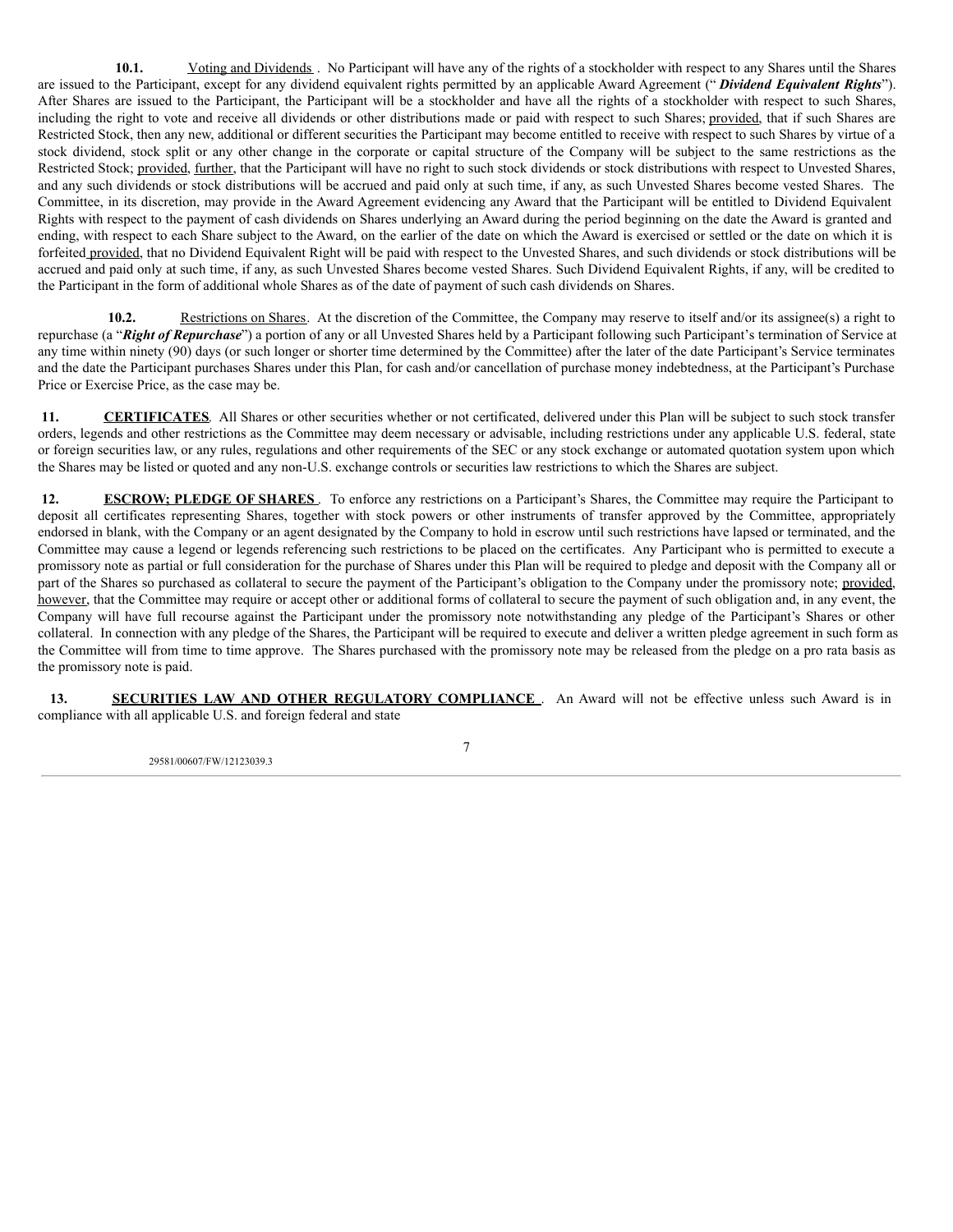<span id="page-17-0"></span>**10.1.** Voting and Dividends . No Participant will have any of the rights of a stockholder with respect to any Shares until the Shares are issued to the Participant, except for any dividend equivalent rights permitted by an applicable Award Agreement (" *Dividend Equivalent Rights*"). After Shares are issued to the Participant, the Participant will be a stockholder and have all the rights of a stockholder with respect to such Shares, including the right to vote and receive all dividends or other distributions made or paid with respect to such Shares; provided, that if such Shares are Restricted Stock, then any new, additional or different securities the Participant may become entitled to receive with respect to such Shares by virtue of a stock dividend, stock split or any other change in the corporate or capital structure of the Company will be subject to the same restrictions as the Restricted Stock; provided, further, that the Participant will have no right to such stock dividends or stock distributions with respect to Unvested Shares, and any such dividends or stock distributions will be accrued and paid only at such time, if any, as such Unvested Shares become vested Shares. The Committee, in its discretion, may provide in the Award Agreement evidencing any Award that the Participant will be entitled to Dividend Equivalent Rights with respect to the payment of cash dividends on Shares underlying an Award during the period beginning on the date the Award is granted and ending, with respect to each Share subject to the Award, on the earlier of the date on which the Award is exercised or settled or the date on which it is forfeited provided, that no Dividend Equivalent Right will be paid with respect to the Unvested Shares, and such dividends or stock distributions will be accrued and paid only at such time, if any, as such Unvested Shares become vested Shares. Such Dividend Equivalent Rights, if any, will be credited to the Participant in the form of additional whole Shares as of the date of payment of such cash dividends on Shares.

**10.2.** Restrictions on Shares. At the discretion of the Committee, the Company may reserve to itself and/or its assignee(s) a right to repurchase (a "*Right of Repurchase*") a portion of any or all Unvested Shares held by a Participant following such Participant's termination of Service at any time within ninety (90) days (or such longer or shorter time determined by the Committee) after the later of the date Participant's Service terminates and the date the Participant purchases Shares under this Plan, for cash and/or cancellation of purchase money indebtedness, at the Participant's Purchase Price or Exercise Price, as the case may be.

11. **CERTIFICATES**. All Shares or other securities whether or not certificated, delivered under this Plan will be subject to such stock transfer orders, legends and other restrictions as the Committee may deem necessary or advisable, including restrictions under any applicable U.S. federal, state or foreign securities law, or any rules, regulations and other requirements of the SEC or any stock exchange or automated quotation system upon which the Shares may be listed or quoted and any non-U.S. exchange controls or securities law restrictions to which the Shares are subject.

**12. ESCROW;** PLEDGE OF SHARES . To enforce any restrictions on a Participant's Shares, the Committee may require the Participant to deposit all certificates representing Shares, together with stock powers or other instruments of transfer approved by the Committee, appropriately endorsed in blank, with the Company or an agent designated by the Company to hold in escrow until such restrictions have lapsed or terminated, and the Committee may cause a legend or legends referencing such restrictions to be placed on the certificates. Any Participant who is permitted to execute a promissory note as partial or full consideration for the purchase of Shares under this Plan will be required to pledge and deposit with the Company all or part of the Shares so purchased as collateral to secure the payment of the Participant's obligation to the Company under the promissory note; provided, however, that the Committee may require or accept other or additional forms of collateral to secure the payment of such obligation and, in any event, the Company will have full recourse against the Participant under the promissory note notwithstanding any pledge of the Participant's Shares or other collateral. In connection with any pledge of the Shares, the Participant will be required to execute and deliver a written pledge agreement in such form as the Committee will from time to time approve. The Shares purchased with the promissory note may be released from the pledge on a pro rata basis as the promissory note is paid.

**13. SECURITIES LAW AND OTHER REGULATORY COMPLIANCE** . An Award will not be effective unless such Award is in compliance with all applicable U.S. and foreign federal and state

29581/00607/FW/12123039.3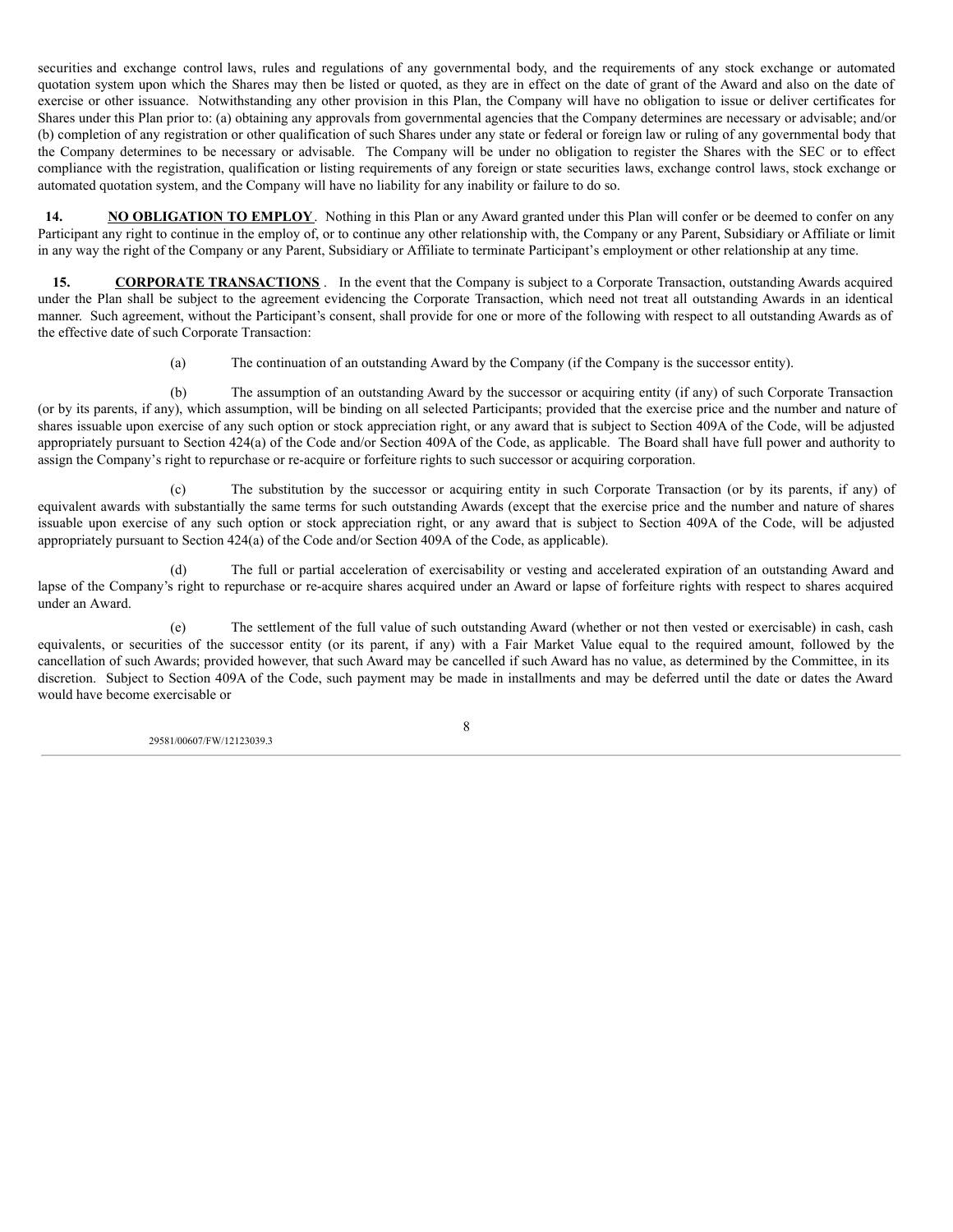securities and exchange control laws, rules and regulations of any governmental body, and the requirements of any stock exchange or automated quotation system upon which the Shares may then be listed or quoted, as they are in effect on the date of grant of the Award and also on the date of exercise or other issuance. Notwithstanding any other provision in this Plan, the Company will have no obligation to issue or deliver certificates for Shares under this Plan prior to: (a) obtaining any approvals from governmental agencies that the Company determines are necessary or advisable; and/or (b) completion of any registration or other qualification of such Shares under any state or federal or foreign law or ruling of any governmental body that the Company determines to be necessary or advisable. The Company will be under no obligation to register the Shares with the SEC or to effect compliance with the registration, qualification or listing requirements of any foreign or state securities laws, exchange control laws, stock exchange or automated quotation system, and the Company will have no liability for any inability or failure to do so.

**14. NO OBLIGATION TO EMPLOY**. Nothing in this Plan or any Award granted under this Plan will confer or be deemed to confer on any Participant any right to continue in the employ of, or to continue any other relationship with, the Company or any Parent, Subsidiary or Affiliate or limit in any way the right of the Company or any Parent, Subsidiary or Affiliate to terminate Participant's employment or other relationship at any time.

**15. CORPORATE TRANSACTIONS** . In the event that the Company is subject to a Corporate Transaction, outstanding Awards acquired under the Plan shall be subject to the agreement evidencing the Corporate Transaction, which need not treat all outstanding Awards in an identical manner. Such agreement, without the Participant's consent, shall provide for one or more of the following with respect to all outstanding Awards as of the effective date of such Corporate Transaction:

(a) The continuation of an outstanding Award by the Company (if the Company is the successor entity).

(b) The assumption of an outstanding Award by the successor or acquiring entity (if any) of such Corporate Transaction (or by its parents, if any), which assumption, will be binding on all selected Participants; provided that the exercise price and the number and nature of shares issuable upon exercise of any such option or stock appreciation right, or any award that is subject to Section 409A of the Code, will be adjusted appropriately pursuant to Section 424(a) of the Code and/or Section 409A of the Code, as applicable. The Board shall have full power and authority to assign the Company's right to repurchase or re-acquire or forfeiture rights to such successor or acquiring corporation.

(c) The substitution by the successor or acquiring entity in such Corporate Transaction (or by its parents, if any) of equivalent awards with substantially the same terms for such outstanding Awards (except that the exercise price and the number and nature of shares issuable upon exercise of any such option or stock appreciation right, or any award that is subject to Section 409A of the Code, will be adjusted appropriately pursuant to Section 424(a) of the Code and/or Section 409A of the Code, as applicable).

(d) The full or partial acceleration of exercisability or vesting and accelerated expiration of an outstanding Award and lapse of the Company's right to repurchase or re-acquire shares acquired under an Award or lapse of forfeiture rights with respect to shares acquired under an Award.

(e) The settlement of the full value of such outstanding Award (whether or not then vested or exercisable) in cash, cash equivalents, or securities of the successor entity (or its parent, if any) with a Fair Market Value equal to the required amount, followed by the cancellation of such Awards; provided however, that such Award may be cancelled if such Award has no value, as determined by the Committee, in its discretion. Subject to Section 409A of the Code, such payment may be made in installments and may be deferred until the date or dates the Award would have become exercisable or

29581/00607/FW/12123039.3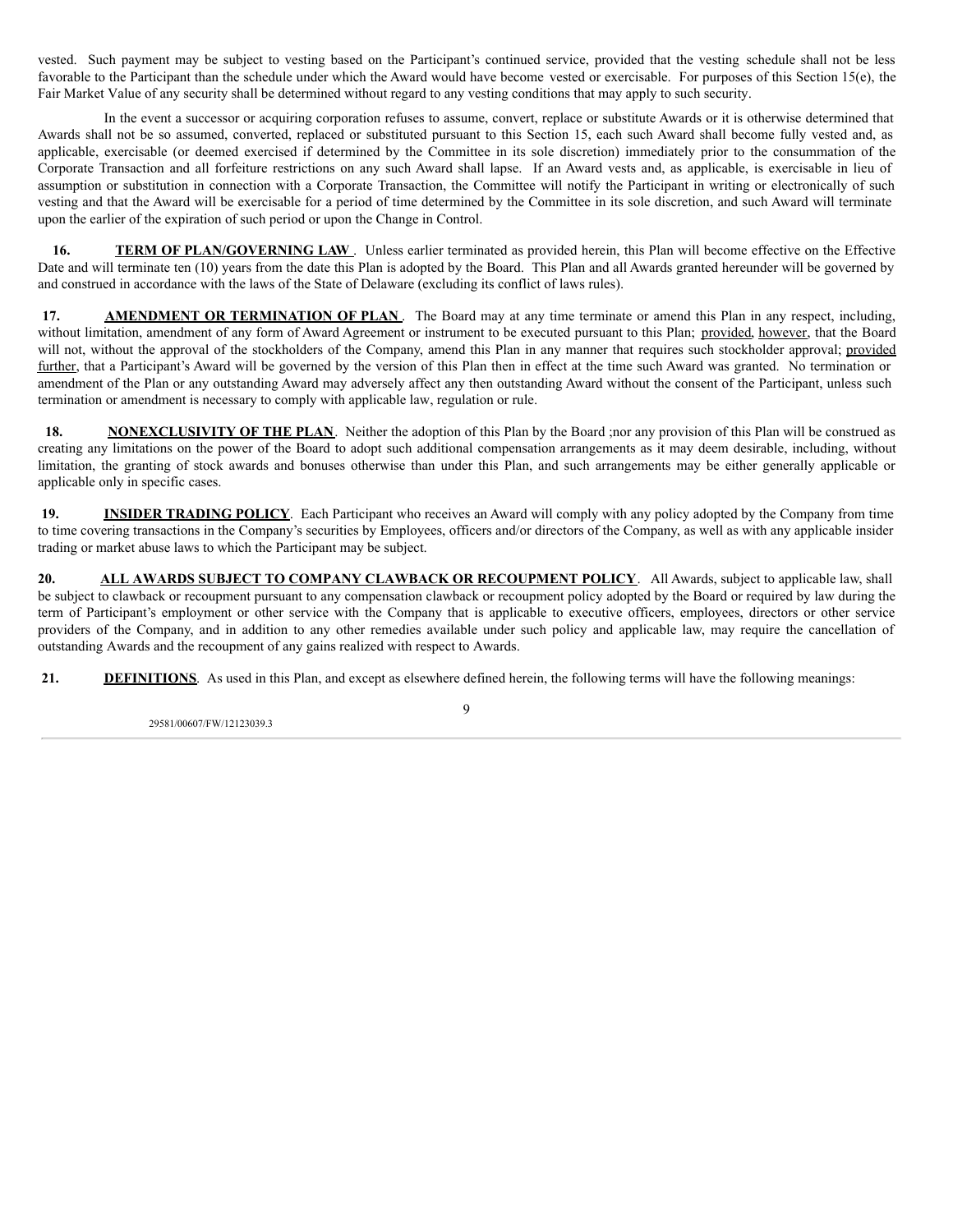vested. Such payment may be subject to vesting based on the Participant's continued service, provided that the vesting schedule shall not be less favorable to the Participant than the schedule under which the Award would have become vested or exercisable. For purposes of this Section 15(e), the Fair Market Value of any security shall be determined without regard to any vesting conditions that may apply to such security.

In the event a successor or acquiring corporation refuses to assume, convert, replace or substitute Awards or it is otherwise determined that Awards shall not be so assumed, converted, replaced or substituted pursuant to this Section 15, each such Award shall become fully vested and, as applicable, exercisable (or deemed exercised if determined by the Committee in its sole discretion) immediately prior to the consummation of the Corporate Transaction and all forfeiture restrictions on any such Award shall lapse. If an Award vests and, as applicable, is exercisable in lieu of assumption or substitution in connection with a Corporate Transaction, the Committee will notify the Participant in writing or electronically of such vesting and that the Award will be exercisable for a period of time determined by the Committee in its sole discretion, and such Award will terminate upon the earlier of the expiration of such period or upon the Change in Control.

**16. TERM OF PLAN/GOVERNING LAW**. Unless earlier terminated as provided herein, this Plan will become effective on the Effective Date and will terminate ten (10) years from the date this Plan is adopted by the Board. This Plan and all Awards granted hereunder will be governed by and construed in accordance with the laws of the State of Delaware (excluding its conflict of laws rules).

**17. AMENDMENT OR TERMINATION OF PLAN**. The Board may at any time terminate or amend this Plan in any respect, including, without limitation, amendment of any form of Award Agreement or instrument to be executed pursuant to this Plan; provided, however, that the Board will not, without the approval of the stockholders of the Company, amend this Plan in any manner that requires such stockholder approval; provided further, that a Participant's Award will be governed by the version of this Plan then in effect at the time such Award was granted. No termination or amendment of the Plan or any outstanding Award may adversely affect any then outstanding Award without the consent of the Participant, unless such termination or amendment is necessary to comply with applicable law, regulation or rule.

**18. NONEXCLUSIVITY OF THE PLAN**. Neither the adoption of this Plan by the Board ;nor any provision of this Plan will be construed as creating any limitations on the power of the Board to adopt such additional compensation arrangements as it may deem desirable, including, without limitation, the granting of stock awards and bonuses otherwise than under this Plan, and such arrangements may be either generally applicable or applicable only in specific cases.

**19. INSIDER TRADING POLICY**. Each Participant who receives an Award will comply with any policy adopted by the Company from time to time covering transactions in the Company's securities by Employees, officers and/or directors of the Company, as well as with any applicable insider trading or market abuse laws to which the Participant may be subject.

**20. ALL AWARDS SUBJECT TO COMPANY CLAWBACK OR RECOUPMENT POLICY**. All Awards, subject to applicable law, shall be subject to clawback or recoupment pursuant to any compensation clawback or recoupment policy adopted by the Board or required by law during the term of Participant's employment or other service with the Company that is applicable to executive officers, employees, directors or other service providers of the Company, and in addition to any other remedies available under such policy and applicable law, may require the cancellation of outstanding Awards and the recoupment of any gains realized with respect to Awards.

**21. DEFINITIONS**. As used in this Plan, and except as elsewhere defined herein, the following terms will have the following meanings:

29581/00607/FW/12123039.3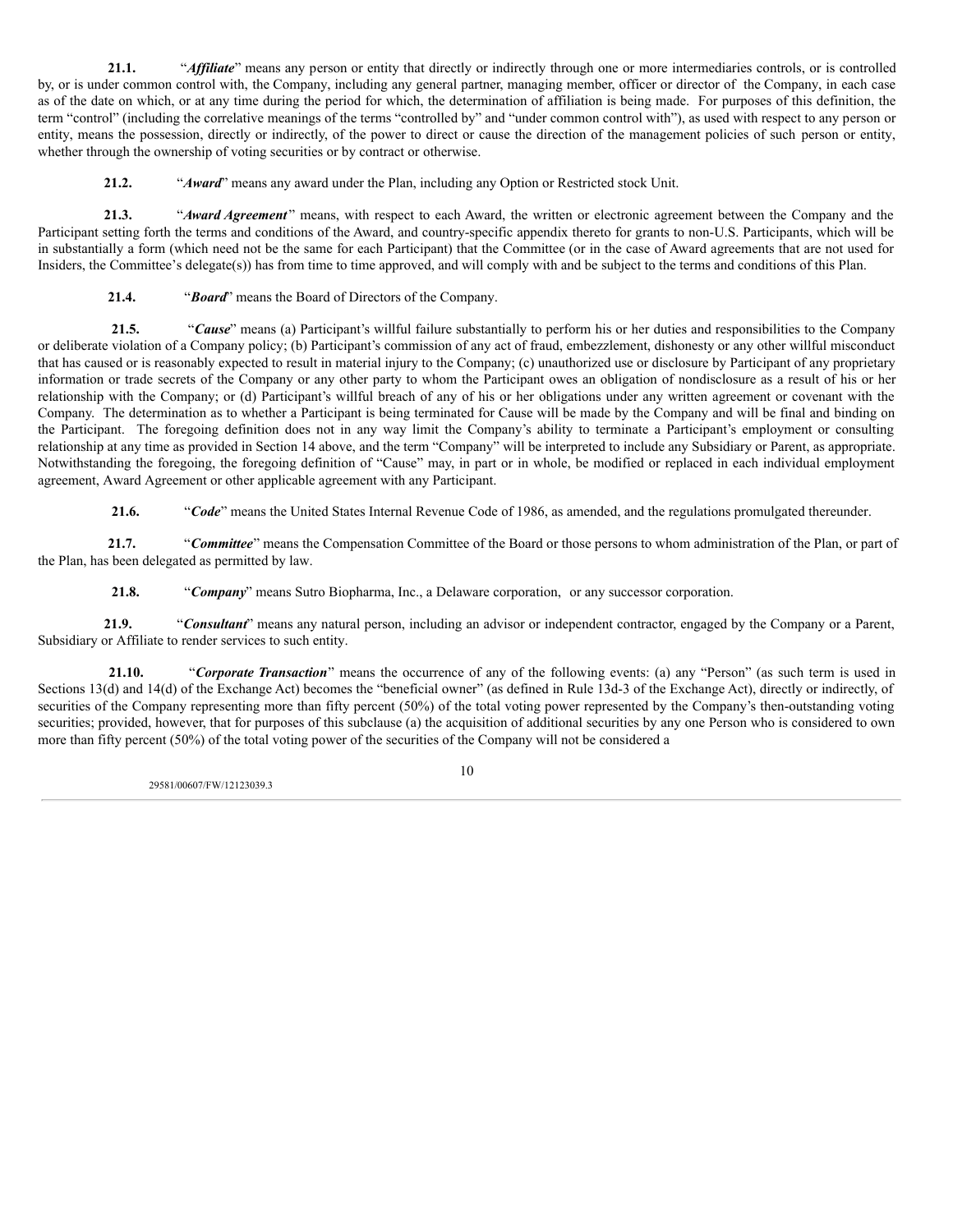21.1. "*Affiliate*" means any person or entity that directly or indirectly through one or more intermediaries controls, or is controlled by, or is under common control with, the Company, including any general partner, managing member, officer or director of the Company, in each case as of the date on which, or at any time during the period for which, the determination of affiliation is being made. For purposes of this definition, the term "control" (including the correlative meanings of the terms "controlled by" and "under common control with"), as used with respect to any person or entity, means the possession, directly or indirectly, of the power to direct or cause the direction of the management policies of such person or entity, whether through the ownership of voting securities or by contract or otherwise.

**21.2.** "*Award*" means any award under the Plan, including any Option or Restricted stock Unit.

**21.3.** "*Award Agreement* " means, with respect to each Award, the written or electronic agreement between the Company and the Participant setting forth the terms and conditions of the Award, and country-specific appendix thereto for grants to non-U.S. Participants, which will be in substantially a form (which need not be the same for each Participant) that the Committee (or in the case of Award agreements that are not used for Insiders, the Committee's delegate(s)) has from time to time approved, and will comply with and be subject to the terms and conditions of this Plan.

**21.4.** "*Board*" means the Board of Directors of the Company.

**21.5.** "*Cause*" means (a) Participant's willful failure substantially to perform his or her duties and responsibilities to the Company or deliberate violation of a Company policy; (b) Participant's commission of any act of fraud, embezzlement, dishonesty or any other willful misconduct that has caused or is reasonably expected to result in material injury to the Company; (c) unauthorized use or disclosure by Participant of any proprietary information or trade secrets of the Company or any other party to whom the Participant owes an obligation of nondisclosure as a result of his or her relationship with the Company; or (d) Participant's willful breach of any of his or her obligations under any written agreement or covenant with the Company. The determination as to whether a Participant is being terminated for Cause will be made by the Company and will be final and binding on the Participant. The foregoing definition does not in any way limit the Company's ability to terminate a Participant's employment or consulting relationship at any time as provided in Section 14 above, and the term "Company" will be interpreted to include any Subsidiary or Parent, as appropriate. Notwithstanding the foregoing, the foregoing definition of "Cause" may, in part or in whole, be modified or replaced in each individual employment agreement, Award Agreement or other applicable agreement with any Participant.

**21.6.** "*Code*" means the United States Internal Revenue Code of 1986, as amended, and the regulations promulgated thereunder.

**21.7.** "*Committee*" means the Compensation Committee of the Board or those persons to whom administration of the Plan, or part of the Plan, has been delegated as permitted by law.

**21.8.** "*Company*" means Sutro Biopharma, Inc., a Delaware corporation, or any successor corporation.

**21.9.** "*Consultant*" means any natural person, including an advisor or independent contractor, engaged by the Company or a Parent, Subsidiary or Affiliate to render services to such entity.

**21.10.** "*Corporate Transaction*" means the occurrence of any of the following events: (a) any "Person" (as such term is used in Sections 13(d) and 14(d) of the Exchange Act) becomes the "beneficial owner" (as defined in Rule 13d-3 of the Exchange Act), directly or indirectly, of securities of the Company representing more than fifty percent (50%) of the total voting power represented by the Company's then-outstanding voting securities; provided, however, that for purposes of this subclause (a) the acquisition of additional securities by any one Person who is considered to own more than fifty percent (50%) of the total voting power of the securities of the Company will not be considered a

29581/00607/FW/12123039.3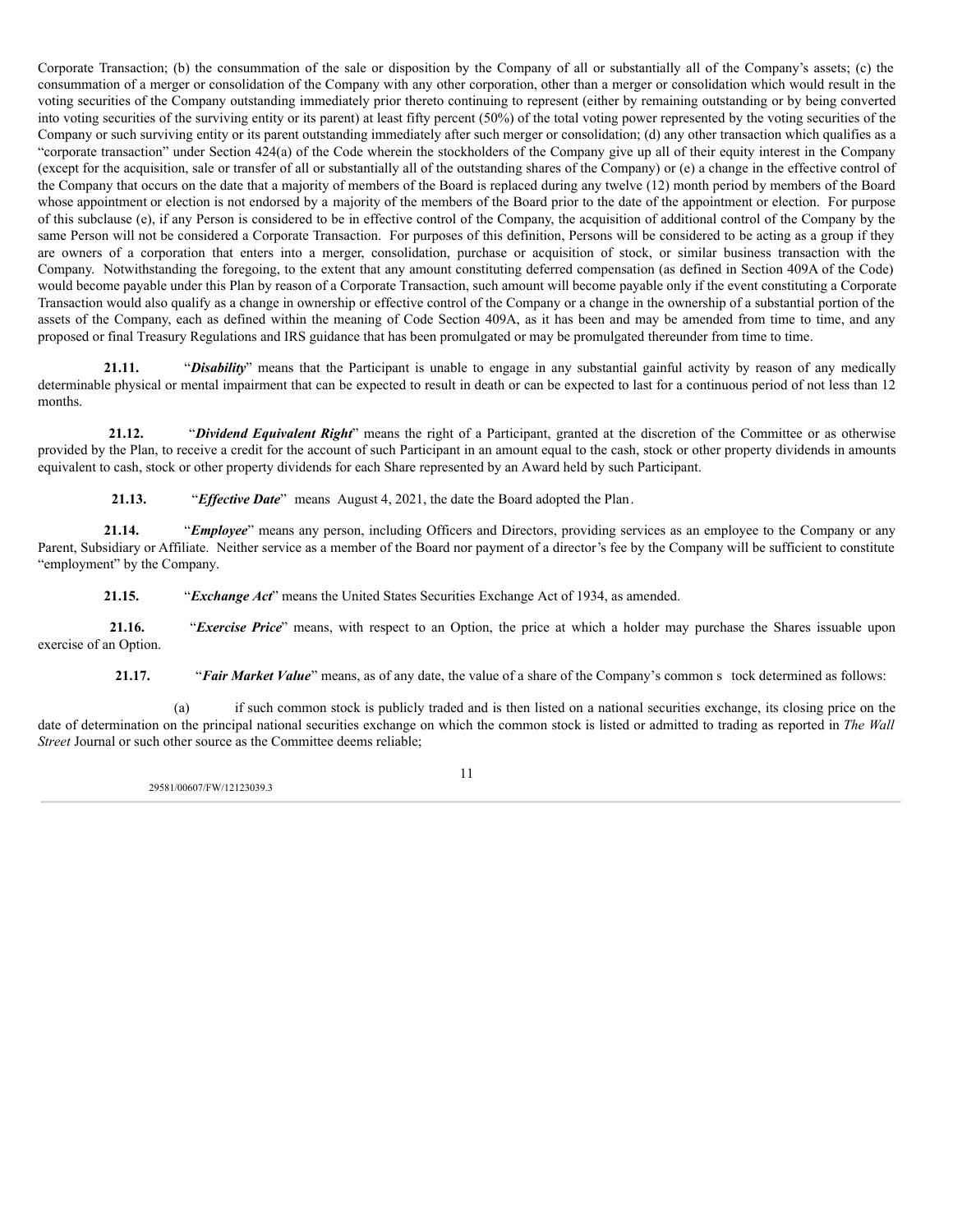Corporate Transaction; (b) the consummation of the sale or disposition by the Company of all or substantially all of the Company's assets; (c) the consummation of a merger or consolidation of the Company with any other corporation, other than a merger or consolidation which would result in the voting securities of the Company outstanding immediately prior thereto continuing to represent (either by remaining outstanding or by being converted into voting securities of the surviving entity or its parent) at least fifty percent (50%) of the total voting power represented by the voting securities of the Company or such surviving entity or its parent outstanding immediately after such merger or consolidation; (d) any other transaction which qualifies as a "corporate transaction" under Section 424(a) of the Code wherein the stockholders of the Company give up all of their equity interest in the Company (except for the acquisition, sale or transfer of all or substantially all of the outstanding shares of the Company) or (e) a change in the effective control of the Company that occurs on the date that a majority of members of the Board is replaced during any twelve (12) month period by members of the Board whose appointment or election is not endorsed by a majority of the members of the Board prior to the date of the appointment or election. For purpose of this subclause (e), if any Person is considered to be in effective control of the Company, the acquisition of additional control of the Company by the same Person will not be considered a Corporate Transaction. For purposes of this definition, Persons will be considered to be acting as a group if they are owners of a corporation that enters into a merger, consolidation, purchase or acquisition of stock, or similar business transaction with the Company. Notwithstanding the foregoing, to the extent that any amount constituting deferred compensation (as defined in Section 409A of the Code) would become payable under this Plan by reason of a Corporate Transaction, such amount will become payable only if the event constituting a Corporate Transaction would also qualify as a change in ownership or effective control of the Company or a change in the ownership of a substantial portion of the assets of the Company, each as defined within the meaning of Code Section 409A, as it has been and may be amended from time to time, and any proposed or final Treasury Regulations and IRS guidance that has been promulgated or may be promulgated thereunder from time to time.

**21.11.** "*Disability*" means that the Participant is unable to engage in any substantial gainful activity by reason of any medically determinable physical or mental impairment that can be expected to result in death or can be expected to last for a continuous period of not less than 12 months.

**21.12.** "*Dividend Equivalent Right*" means the right of a Participant, granted at the discretion of the Committee or as otherwise provided by the Plan, to receive a credit for the account of such Participant in an amount equal to the cash, stock or other property dividends in amounts equivalent to cash, stock or other property dividends for each Share represented by an Award held by such Participant.

**21.13.** "*Effective Date*" means August 4, 2021, the date the Board adopted the Plan.

**21.14.** "*Employee*" means any person, including Officers and Directors, providing services as an employee to the Company or any Parent, Subsidiary or Affiliate. Neither service as a member of the Board nor payment of a director's fee by the Company will be sufficient to constitute "employment" by the Company.

**21.15.** "*Exchange Act*" means the United States Securities Exchange Act of 1934, as amended.

**21.16.** "*Exercise Price*" means, with respect to an Option, the price at which a holder may purchase the Shares issuable upon exercise of an Option.

**21.17.** "*Fair Market Value*" means, as of any date, the value of a share of the Company's common s tock determined as follows:

(a) if such common stock is publicly traded and is then listed on a national securities exchange, its closing price on the date of determination on the principal national securities exchange on which the common stock is listed or admitted to trading as reported in *The Wall Street* Journal or such other source as the Committee deems reliable;

29581/00607/FW/12123039.3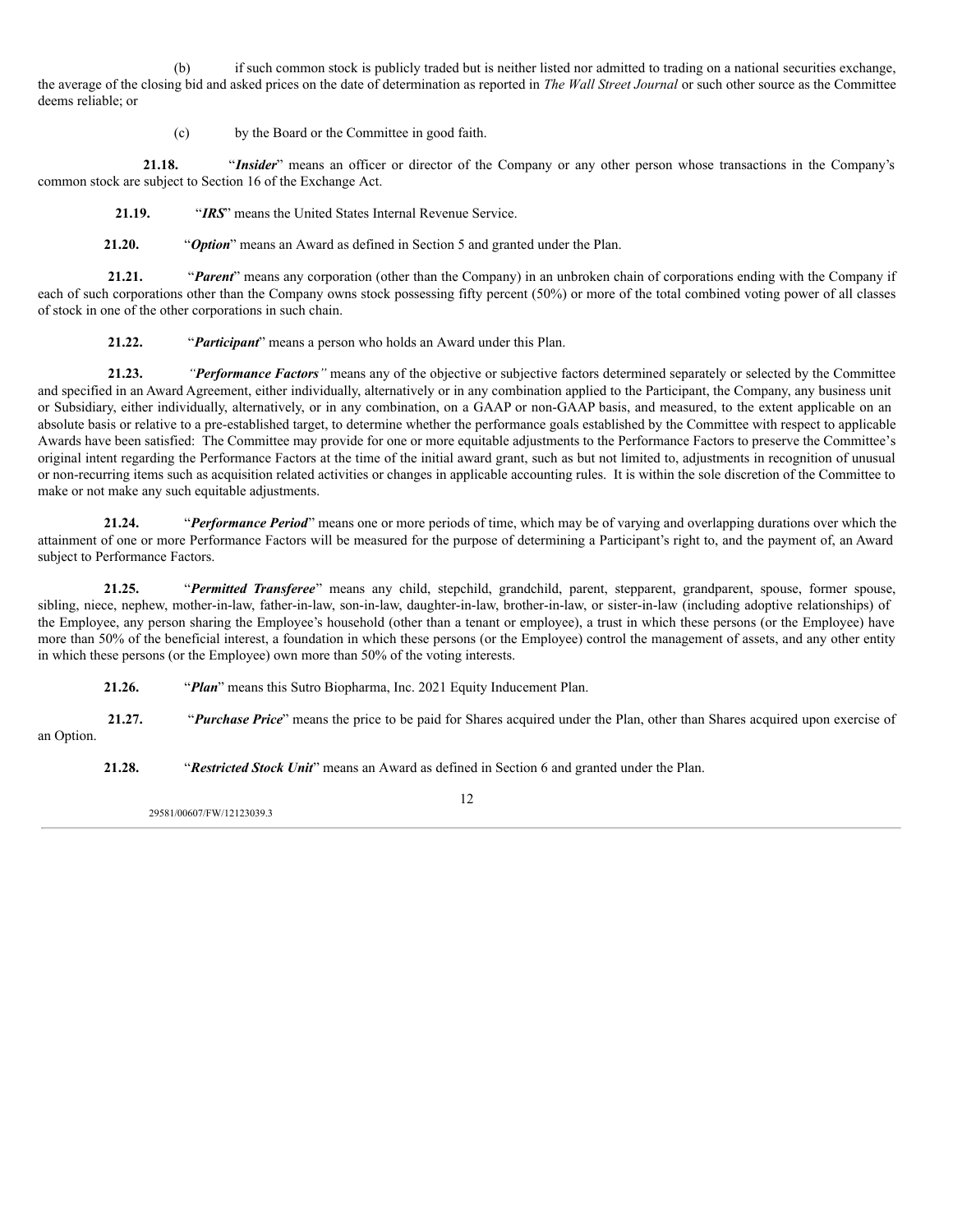(b) if such common stock is publicly traded but is neither listed nor admitted to trading on a national securities exchange, the average of the closing bid and asked prices on the date of determination as reported in *The Wall Street Journal* or such other source as the Committee deems reliable; or

(c) by the Board or the Committee in good faith.

**21.18.** "*Insider*" means an officer or director of the Company or any other person whose transactions in the Company's common stock are subject to Section 16 of the Exchange Act.

**21.19.** "*IRS*" means the United States Internal Revenue Service.

**21.20.** "*Option*" means an Award as defined in Section 5 and granted under the Plan.

**21.21.** "*Parent*" means any corporation (other than the Company) in an unbroken chain of corporations ending with the Company if each of such corporations other than the Company owns stock possessing fifty percent (50%) or more of the total combined voting power of all classes of stock in one of the other corporations in such chain.

**21.22.** "*Participant*" means a person who holds an Award under this Plan.

**21.23.** *"Performance Factors"* means any of the objective or subjective factors determined separately or selected by the Committee and specified in an Award Agreement, either individually, alternatively or in any combination applied to the Participant, the Company, any business unit or Subsidiary, either individually, alternatively, or in any combination, on a GAAP or non-GAAP basis, and measured, to the extent applicable on an absolute basis or relative to a pre-established target, to determine whether the performance goals established by the Committee with respect to applicable Awards have been satisfied: The Committee may provide for one or more equitable adjustments to the Performance Factors to preserve the Committee's original intent regarding the Performance Factors at the time of the initial award grant, such as but not limited to, adjustments in recognition of unusual or non-recurring items such as acquisition related activities or changes in applicable accounting rules. It is within the sole discretion of the Committee to make or not make any such equitable adjustments.

**21.24.** "*Performance Period*" means one or more periods of time, which may be of varying and overlapping durations over which the attainment of one or more Performance Factors will be measured for the purpose of determining a Participant's right to, and the payment of, an Award subject to Performance Factors.

**21.25.** "*Permitted Transferee*" means any child, stepchild, grandchild, parent, stepparent, grandparent, spouse, former spouse, sibling, niece, nephew, mother-in-law, father-in-law, son-in-law, daughter-in-law, brother-in-law, or sister-in-law (including adoptive relationships) of the Employee, any person sharing the Employee's household (other than a tenant or employee), a trust in which these persons (or the Employee) have more than 50% of the beneficial interest, a foundation in which these persons (or the Employee) control the management of assets, and any other entity in which these persons (or the Employee) own more than 50% of the voting interests.

**21.26.** "*Plan*" means this Sutro Biopharma, Inc. 2021 Equity Inducement Plan.

**21.27.** "*Purchase Price*" means the price to be paid for Shares acquired under the Plan, other than Shares acquired upon exercise of an Option.

**21.28.** "*Restricted Stock Unit*" means an Award as defined in Section 6 and granted under the Plan.

29581/00607/FW/12123039.3